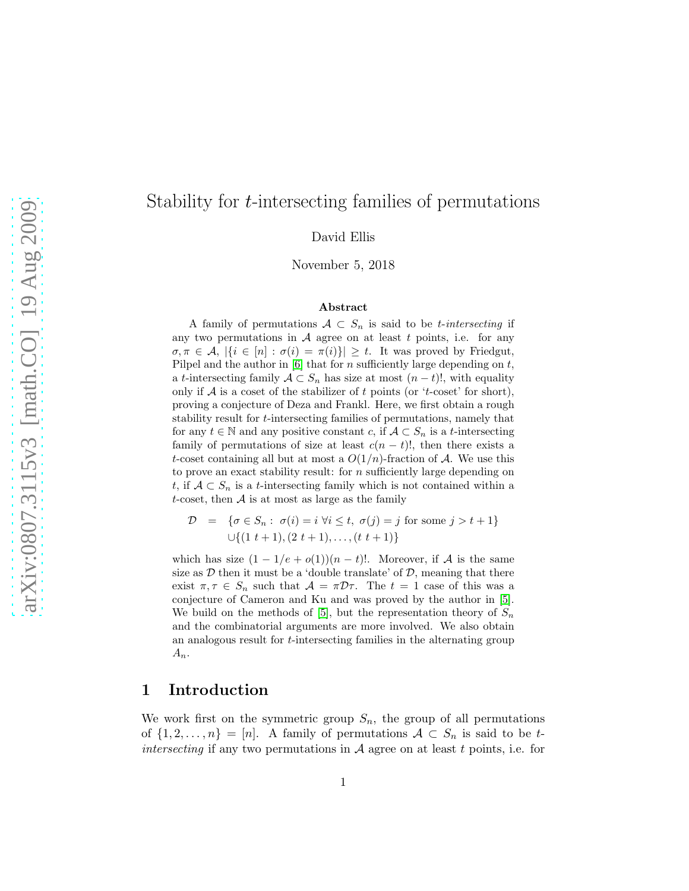# Stability for t-intersecting families of permutations

David Ellis

November 5, 2018

#### Abstract

A family of permutations  $A \subset S_n$  is said to be *t*-intersecting if any two permutations in  $A$  agree on at least  $t$  points, i.e. for any  $\sigma, \pi \in \mathcal{A}, |\{i \in [n] : \sigma(i) = \pi(i)\}| \geq t$ . It was proved by Friedgut, Pilpel and the author in  $[6]$  that for n sufficiently large depending on t, a t-intersecting family  $A \subset S_n$  has size at most  $(n-t)!$ , with equality only if  $A$  is a coset of the stabilizer of t points (or 't-coset' for short), proving a conjecture of Deza and Frankl. Here, we first obtain a rough stability result for t-intersecting families of permutations, namely that for any  $t \in \mathbb{N}$  and any positive constant c, if  $\mathcal{A} \subset S_n$  is a t-intersecting family of permutations of size at least  $c(n - t)$ !, then there exists a t-coset containing all but at most a  $O(1/n)$ -fraction of A. We use this to prove an exact stability result: for n sufficiently large depending on t, if  $A \subset S_n$  is a t-intersecting family which is not contained within a t-coset, then  $A$  is at most as large as the family

$$
\mathcal{D} = \{ \sigma \in S_n : \sigma(i) = i \,\forall i \le t, \, \sigma(j) = j \text{ for some } j > t + 1 \}
$$
  

$$
\cup \{ (1 \ t + 1), (2 \ t + 1), \dots, (t \ t + 1) \}
$$

which has size  $(1 - 1/e + o(1))(n - t)!$ . Moreover, if A is the same size as  $D$  then it must be a 'double translate' of  $D$ , meaning that there exist  $\pi, \tau \in S_n$  such that  $\mathcal{A} = \pi \mathcal{D} \tau$ . The  $t = 1$  case of this was a conjecture of Cameron and Ku and was proved by the author in [\[5\]](#page-27-1). We build on the methods of [\[5\]](#page-27-1), but the representation theory of  $S_n$ and the combinatorial arguments are more involved. We also obtain an analogous result for t-intersecting families in the alternating group  $A_n$ .

## 1 Introduction

We work first on the symmetric group  $S_n$ , the group of all permutations of  $\{1, 2, \ldots, n\} = [n]$ . A family of permutations  $\mathcal{A} \subset S_n$  is said to be tintersecting if any two permutations in  $A$  agree on at least t points, i.e. for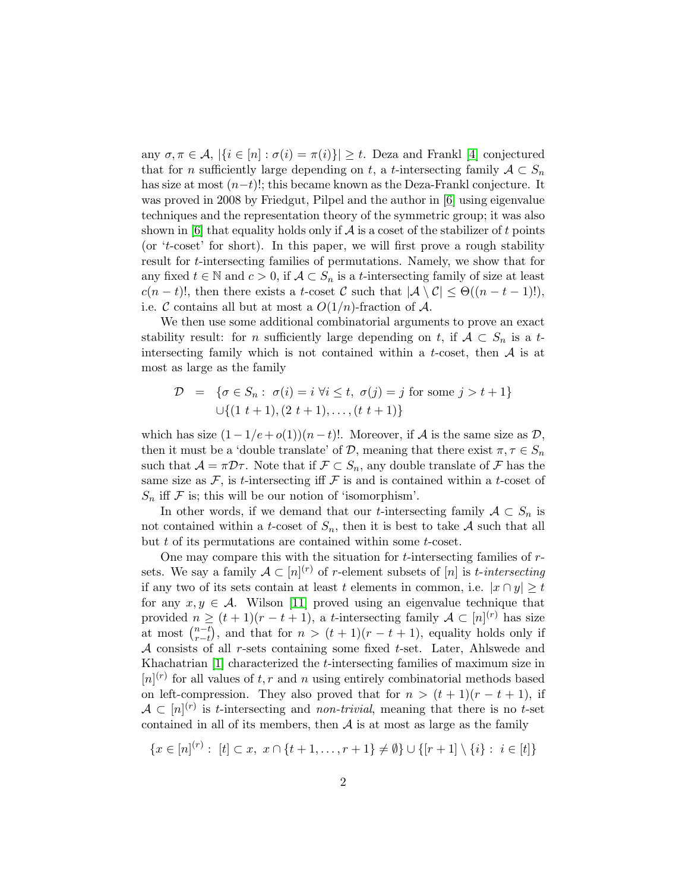any  $\sigma, \pi \in \mathcal{A}, |\{i \in [n] : \sigma(i) = \pi(i)\}| \geq t$ . Deza and Frankl [\[4\]](#page-26-0) conjectured that for n sufficiently large depending on t, a t-intersecting family  $A \subset S_n$ has size at most  $(n-t)!$ ; this became known as the Deza-Frankl conjecture. It was proved in 2008 by Friedgut, Pilpel and the author in [\[6\]](#page-27-0) using eigenvalue techniques and the representation theory of the symmetric group; it was also shown in  $[6]$  that equality holds only if A is a coset of the stabilizer of t points (or 't-coset' for short). In this paper, we will first prove a rough stability result for t-intersecting families of permutations. Namely, we show that for any fixed  $t \in \mathbb{N}$  and  $c > 0$ , if  $\mathcal{A} \subset S_n$  is a t-intersecting family of size at least  $c(n-t)!$ , then there exists a t-coset C such that  $|\mathcal{A} \setminus \mathcal{C}| \leq \Theta((n-t-1)!)$ , i.e. C contains all but at most a  $O(1/n)$ -fraction of A.

We then use some additional combinatorial arguments to prove an exact stability result: for *n* sufficiently large depending on t, if  $A \subset S_n$  is a tintersecting family which is not contained within a t-coset, then  $A$  is at most as large as the family

$$
\mathcal{D} = \{ \sigma \in S_n : \sigma(i) = i \,\forall i \le t, \, \sigma(j) = j \text{ for some } j > t + 1 \}
$$
  

$$
\cup \{ (1 \ t + 1), (2 \ t + 1), \dots, (t \ t + 1) \}
$$

which has size  $(1 - 1/e + o(1))(n - t)!$ . Moreover, if A is the same size as D, then it must be a 'double translate' of D, meaning that there exist  $\pi, \tau \in S_n$ such that  $\mathcal{A} = \pi \mathcal{D}\tau$ . Note that if  $\mathcal{F} \subset S_n$ , any double translate of  $\mathcal{F}$  has the same size as  $\mathcal{F}$ , is t-intersecting iff  $\mathcal{F}$  is and is contained within a t-coset of  $S_n$  iff  $\mathcal F$  is; this will be our notion of 'isomorphism'.

In other words, if we demand that our *t*-intersecting family  $A \subset S_n$  is not contained within a *t*-coset of  $S_n$ , then it is best to take A such that all but t of its permutations are contained within some t-coset.

One may compare this with the situation for  $t$ -intersecting families of  $r$ sets. We say a family  $\mathcal{A} \subset [n]^{(r)}$  of r-element subsets of  $[n]$  is t-intersecting if any two of its sets contain at least t elements in common, i.e.  $|x \cap y| \geq t$ for any  $x, y \in \mathcal{A}$ . Wilson [\[11\]](#page-27-2) proved using an eigenvalue technique that provided  $n \ge (t+1)(r-t+1)$ , a t-intersecting family  $\mathcal{A} \subset [n]^{(r)}$  has size at most  $\binom{n-t}{r-t}$  $\binom{n-t}{r-t}$ , and that for  $n > (t+1)(r-t+1)$ , equality holds only if  $A$  consists of all r-sets containing some fixed t-set. Later, Ahlswede and Khachatrian [\[1\]](#page-26-1) characterized the t-intersecting families of maximum size in  $[n]^{(r)}$  for all values of t, r and n using entirely combinatorial methods based on left-compression. They also proved that for  $n > (t + 1)(r - t + 1)$ , if  $\mathcal{A} \subset [n]^{(r)}$  is t-intersecting and *non-trivial*, meaning that there is no t-set contained in all of its members, then  $A$  is at most as large as the family

$$
\{x \in [n]^{(r)} : [t] \subset x, \ x \cap \{t+1, \dots, r+1\} \neq \emptyset\} \cup \{[r+1] \setminus \{i\} : i \in [t]\}
$$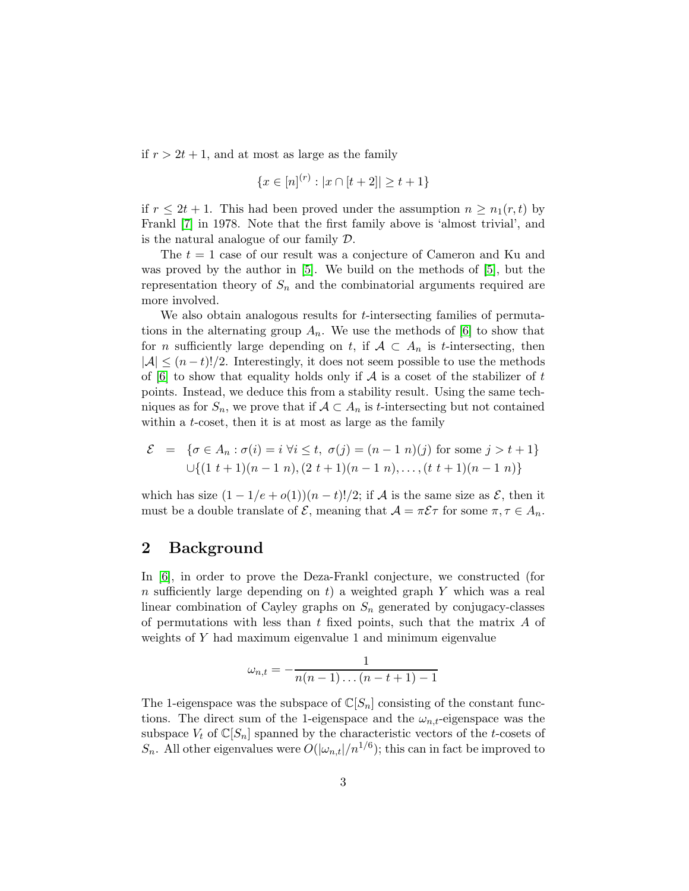if  $r > 2t + 1$ , and at most as large as the family

$$
\{x \in [n]^{(r)} : |x \cap [t+2]| \ge t+1\}
$$

if  $r \leq 2t + 1$ . This had been proved under the assumption  $n \geq n_1(r, t)$  by Frankl [\[7\]](#page-27-3) in 1978. Note that the first family above is 'almost trivial', and is the natural analogue of our family D.

The  $t = 1$  case of our result was a conjecture of Cameron and Ku and was proved by the author in [\[5\]](#page-27-1). We build on the methods of [\[5\]](#page-27-1), but the representation theory of  $S_n$  and the combinatorial arguments required are more involved.

We also obtain analogous results for *t*-intersecting families of permutations in the alternating group  $A_n$ . We use the methods of [\[6\]](#page-27-0) to show that for *n* sufficiently large depending on t, if  $A \subset A_n$  is t-intersecting, then  $|A| \leq (n-t)!/2$ . Interestingly, it does not seem possible to use the methods of  $[6]$  to show that equality holds only if A is a coset of the stabilizer of t points. Instead, we deduce this from a stability result. Using the same techniques as for  $S_n$ , we prove that if  $A \subset A_n$  is t-intersecting but not contained within a *t*-coset, then it is at most as large as the family

$$
\mathcal{E} = \{ \sigma \in A_n : \sigma(i) = i \,\forall i \le t, \, \sigma(j) = (n-1 \, n)(j) \text{ for some } j > t+1 \}
$$
  

$$
\cup \{ (1 \, t+1)(n-1 \, n), (2 \, t+1)(n-1 \, n), \dots, (t \, t+1)(n-1 \, n) \}
$$

which has size  $(1 - 1/e + o(1))(n - t)!/2$ ; if A is the same size as  $\mathcal{E}$ , then it must be a double translate of  $\mathcal{E}$ , meaning that  $\mathcal{A} = \pi \mathcal{E} \tau$  for some  $\pi, \tau \in A_n$ .

## 2 Background

In [\[6\]](#page-27-0), in order to prove the Deza-Frankl conjecture, we constructed (for n sufficiently large depending on t) a weighted graph Y which was a real linear combination of Cayley graphs on  $S_n$  generated by conjugacy-classes of permutations with less than t fixed points, such that the matrix  $A$  of weights of Y had maximum eigenvalue 1 and minimum eigenvalue

$$
\omega_{n,t}=-\frac{1}{n(n-1)\dots(n-t+1)-1}
$$

The 1-eigenspace was the subspace of  $\mathbb{C}[S_n]$  consisting of the constant functions. The direct sum of the 1-eigenspace and the  $\omega_{n,t}$ -eigenspace was the subspace  $V_t$  of  $\mathbb{C}[S_n]$  spanned by the characteristic vectors of the t-cosets of  $S_n$ . All other eigenvalues were  $O(|\omega_{n,t}|/n^{1/6})$ ; this can in fact be improved to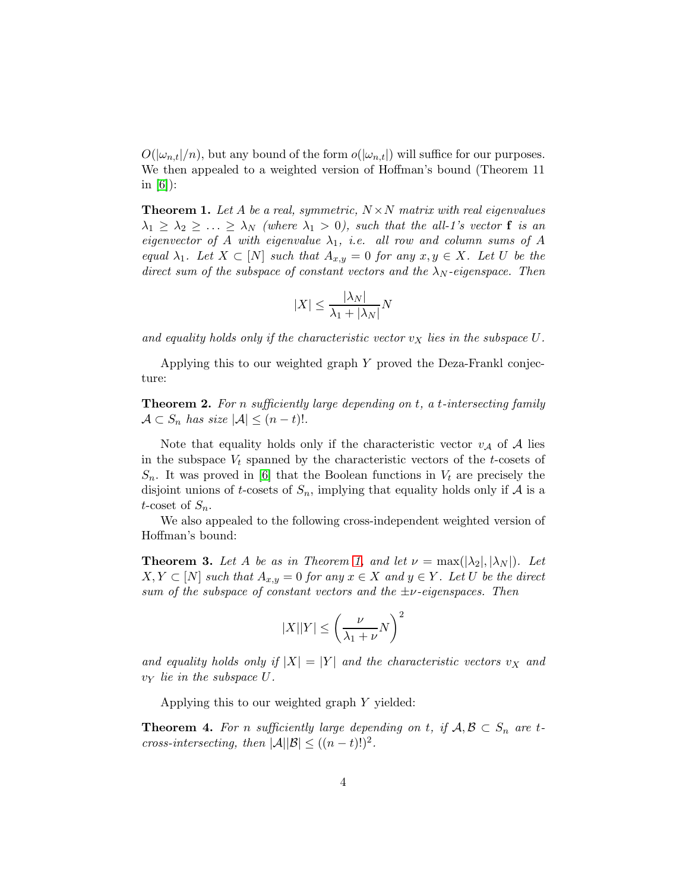$O(|\omega_{n,t}|/n)$ , but any bound of the form  $o(|\omega_{n,t}|)$  will suffice for our purposes. We then appealed to a weighted version of Hoffman's bound (Theorem 11 in  $[6]$ :

<span id="page-3-0"></span>**Theorem 1.** Let A be a real, symmetric,  $N \times N$  matrix with real eigenvalues  $\lambda_1 \geq \lambda_2 \geq \ldots \geq \lambda_N$  (where  $\lambda_1 > 0$ ), such that the all-1's vector **f** is an eigenvector of A with eigenvalue  $\lambda_1$ , i.e. all row and column sums of A equal  $\lambda_1$ . Let  $X \subset [N]$  such that  $A_{x,y} = 0$  for any  $x, y \in X$ . Let U be the direct sum of the subspace of constant vectors and the  $\lambda_N$ -eigenspace. Then

$$
|X| \le \frac{|\lambda_N|}{\lambda_1 + |\lambda_N|}N
$$

and equality holds only if the characteristic vector  $v<sub>X</sub>$  lies in the subspace U.

Applying this to our weighted graph Y proved the Deza-Frankl conjecture:

**Theorem 2.** For n sufficiently large depending on t, a t-intersecting family  $\mathcal{A} \subset S_n$  has size  $|\mathcal{A}| \leq (n-t)!$ .

Note that equality holds only if the characteristic vector  $v_A$  of A lies in the subspace  $V_t$  spanned by the characteristic vectors of the  $t$ -cosets of  $S_n$ . It was proved in [\[6\]](#page-27-0) that the Boolean functions in  $V_t$  are precisely the disjoint unions of t-cosets of  $S_n$ , implying that equality holds only if A is a t-coset of  $S_n$ .

We also appealed to the following cross-independent weighted version of Hoffman's bound:

**Theorem 3.** Let A be as in Theorem [1,](#page-3-0) and let  $\nu = \max(|\lambda_2|, |\lambda_N|)$ . Let  $X, Y \subset [N]$  such that  $A_{x,y} = 0$  for any  $x \in X$  and  $y \in Y$ . Let U be the direct sum of the subspace of constant vectors and the  $\pm \nu$ -eigenspaces. Then

$$
|X||Y| \le \left(\frac{\nu}{\lambda_1 + \nu}N\right)^2
$$

and equality holds only if  $|X| = |Y|$  and the characteristic vectors  $v_X$  and  $v_Y$  lie in the subspace U.

Applying this to our weighted graph Y yielded:

<span id="page-3-1"></span>**Theorem 4.** For n sufficiently large depending on t, if  $A, B \subset S_n$  are tcross-intersecting, then  $|\mathcal{A}||\mathcal{B}| \le ((n-t)!)^2$ .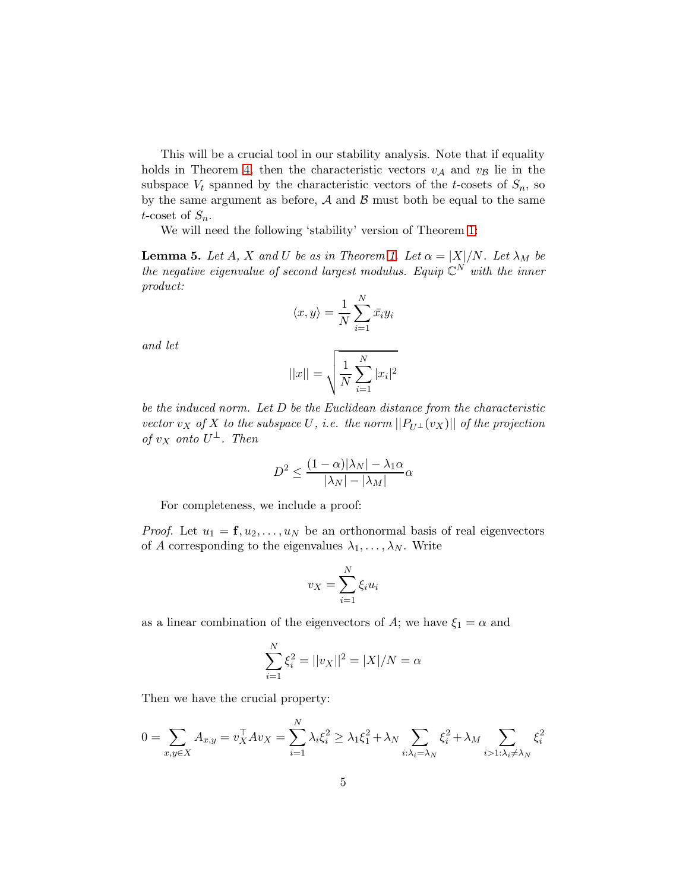This will be a crucial tool in our stability analysis. Note that if equality holds in Theorem [4,](#page-3-1) then the characteristic vectors  $v_A$  and  $v_B$  lie in the subspace  $V_t$  spanned by the characteristic vectors of the t-cosets of  $S_n$ , so by the same argument as before,  $A$  and  $B$  must both be equal to the same t-coset of  $S_n$ .

We will need the following 'stability' version of Theorem [1:](#page-3-0)

**Lemma 5.** Let A, X and U be as in Theorem [1.](#page-3-0) Let  $\alpha = |X|/N$ . Let  $\lambda_M$  be the negative eigenvalue of second largest modulus. Equip  $\mathbb{C}^N$  with the inner product:

$$
\langle x, y \rangle = \frac{1}{N} \sum_{i=1}^{N} \bar{x_i} y_i
$$

and let

$$
||x|| = \sqrt{\frac{1}{N} \sum_{i=1}^{N} |x_i|^2}
$$

be the induced norm. Let D be the Euclidean distance from the characteristic vector v<sub>X</sub> of X to the subspace U, i.e. the norm  $||P_{U^{\perp}}(v_X)||$  of the projection of  $v_X$  onto  $U^{\perp}$ . Then

$$
D^2 \le \frac{(1-\alpha)|\lambda_N| - \lambda_1 \alpha}{|\lambda_N| - |\lambda_M|} \alpha
$$

For completeness, we include a proof:

*Proof.* Let  $u_1 = \mathbf{f}, u_2, \dots, u_N$  be an orthonormal basis of real eigenvectors of A corresponding to the eigenvalues  $\lambda_1, \ldots, \lambda_N$ . Write

$$
v_X = \sum_{i=1}^N \xi_i u_i
$$

as a linear combination of the eigenvectors of A; we have  $\xi_1 = \alpha$  and

$$
\sum_{i=1}^{N} \xi_i^2 = ||v_X||^2 = |X|/N = \alpha
$$

Then we have the crucial property:

$$
0 = \sum_{x,y \in X} A_{x,y} = v_X^\top A v_X = \sum_{i=1}^N \lambda_i \xi_i^2 \ge \lambda_1 \xi_1^2 + \lambda_N \sum_{i:\lambda_i = \lambda_N} \xi_i^2 + \lambda_M \sum_{i>1:\lambda_i \ne \lambda_N} \xi_i^2
$$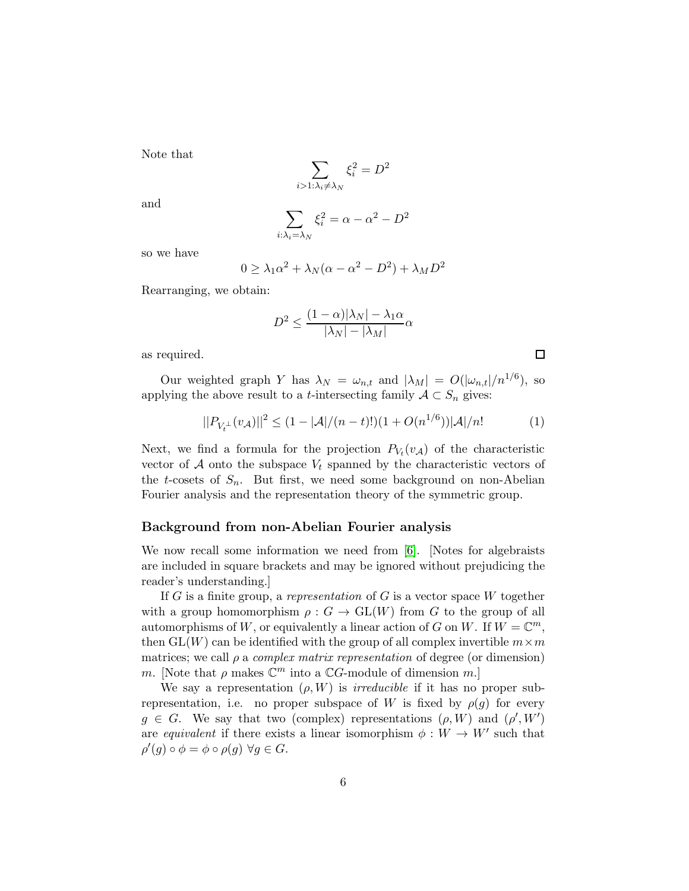Note that

$$
\sum_{i>1:\lambda_i\neq\lambda_N}\xi_i^2=D^2
$$

and

$$
\sum_{i:\lambda_i=\lambda_N} \xi_i^2 = \alpha - \alpha^2 - D^2
$$

so we have

$$
0 \ge \lambda_1 \alpha^2 + \lambda_N (\alpha - \alpha^2 - D^2) + \lambda_M D^2
$$

Rearranging, we obtain:

$$
D^2 \le \frac{(1-\alpha)|\lambda_N| - \lambda_1 \alpha}{|\lambda_N| - |\lambda_M|} \alpha
$$

as required.

Our weighted graph Y has  $\lambda_N = \omega_{n,t}$  and  $|\lambda_M| = O(|\omega_{n,t}|/n^{1/6})$ , so applying the above result to a *t*-intersecting family  $A \subset S_n$  gives:

<span id="page-5-0"></span>
$$
||P_{V_t^{\perp}}(v_{\mathcal{A}})||^2 \le (1 - |\mathcal{A}|/(n - t)!) (1 + O(n^{1/6})) |\mathcal{A}|/n! \tag{1}
$$

 $\Box$ 

Next, we find a formula for the projection  $P_{V_t}(v_A)$  of the characteristic vector of A onto the subspace  $V_t$  spanned by the characteristic vectors of the t-cosets of  $S_n$ . But first, we need some background on non-Abelian Fourier analysis and the representation theory of the symmetric group.

### Background from non-Abelian Fourier analysis

We now recall some information we need from [\[6\]](#page-27-0). [Notes for algebraists are included in square brackets and may be ignored without prejudicing the reader's understanding.]

If G is a finite group, a representation of G is a vector space  $W$  together with a group homomorphism  $\rho : G \to GL(W)$  from G to the group of all automorphisms of W, or equivalently a linear action of G on W. If  $W = \mathbb{C}^m$ , then  $GL(W)$  can be identified with the group of all complex invertible  $m \times m$ matrices; we call  $\rho$  a *complex matrix representation* of degree (or dimension) m. [Note that  $\rho$  makes  $\mathbb{C}^m$  into a  $\mathbb{C}G$ -module of dimension m.]

We say a representation  $(\rho, W)$  is *irreducible* if it has no proper subrepresentation, i.e. no proper subspace of W is fixed by  $\rho(g)$  for every  $g \in G$ . We say that two (complex) representations  $(\rho, W)$  and  $(\rho', W')$ are equivalent if there exists a linear isomorphism  $\phi: W \to W'$  such that  $\rho'(g) \circ \phi = \phi \circ \rho(g) \; \forall g \in G.$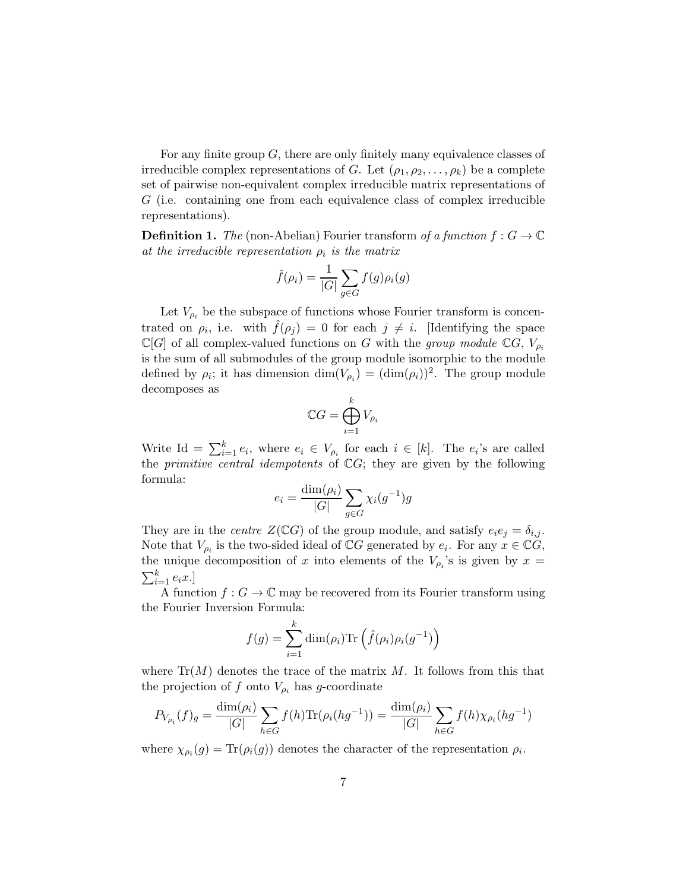For any finite group  $G$ , there are only finitely many equivalence classes of irreducible complex representations of G. Let  $(\rho_1, \rho_2, \ldots, \rho_k)$  be a complete set of pairwise non-equivalent complex irreducible matrix representations of G (i.e. containing one from each equivalence class of complex irreducible representations).

**Definition 1.** The (non-Abelian) Fourier transform of a function  $f : G \to \mathbb{C}$ at the irreducible representation  $\rho_i$  is the matrix

$$
\hat{f}(\rho_i) = \frac{1}{|G|} \sum_{g \in G} f(g) \rho_i(g)
$$

Let  $V_{\rho_i}$  be the subspace of functions whose Fourier transform is concentrated on  $\rho_i$ , i.e. with  $\hat{f}(\rho_j) = 0$  for each  $j \neq i$ . [Identifying the space  $\mathbb{C}[G]$  of all complex-valued functions on G with the group module  $\mathbb{C}[G]$ ,  $V_{\rho_i}$ is the sum of all submodules of the group module isomorphic to the module defined by  $\rho_i$ ; it has dimension  $\dim(V_{\rho_i}) = (\dim(\rho_i))^2$ . The group module decomposes as

$$
\mathbb{C}G = \bigoplus_{i=1}^k V_{\rho_i}
$$

Write Id =  $\sum_{i=1}^{k} e_i$ , where  $e_i \in V_{\rho_i}$  for each  $i \in [k]$ . The  $e_i$ 's are called the *primitive central idempotents* of  $\mathbb{C}G$ ; they are given by the following formula:

$$
e_i = \frac{\dim(\rho_i)}{|G|} \sum_{g \in G} \chi_i(g^{-1})g
$$

They are in the *centre*  $Z(\mathbb{C}G)$  of the group module, and satisfy  $e_ie_j = \delta_{i,j}$ . Note that  $V_{\rho_i}$  is the two-sided ideal of  $\mathbb{C}G$  generated by  $e_i$ . For any  $x \in \mathbb{C}G$ , the unique decomposition of x into elements of the  $V_{\rho_i}$ 's is given by  $x =$  $\sum_{i=1}^k e_i x.$ 

A function  $f: G \to \mathbb{C}$  may be recovered from its Fourier transform using the Fourier Inversion Formula:

$$
f(g) = \sum_{i=1}^{k} \dim(\rho_i) \text{Tr}\left(\hat{f}(\rho_i)\rho_i(g^{-1})\right)
$$

where  $\text{Tr}(M)$  denotes the trace of the matrix M. It follows from this that the projection of f onto  $V_{\rho_i}$  has g-coordinate

$$
P_{V_{\rho_i}}(f)_g = \frac{\dim(\rho_i)}{|G|} \sum_{h \in G} f(h) \text{Tr}(\rho_i(hg^{-1})) = \frac{\dim(\rho_i)}{|G|} \sum_{h \in G} f(h) \chi_{\rho_i}(hg^{-1})
$$

where  $\chi_{\rho_i}(g) = \text{Tr}(\rho_i(g))$  denotes the character of the representation  $\rho_i$ .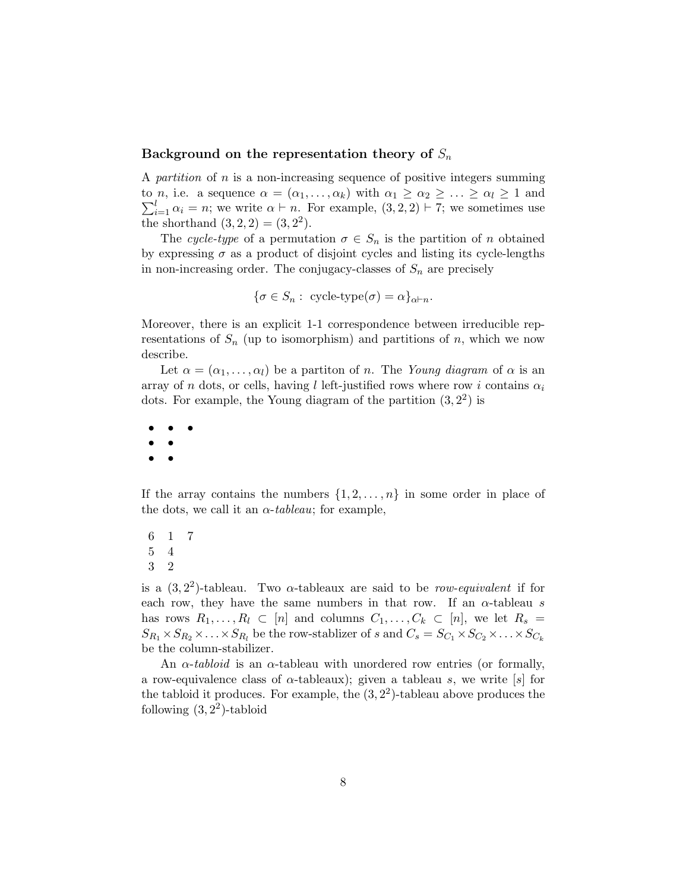### Background on the representation theory of  $S_n$

A partition of n is a non-increasing sequence of positive integers summing  $\sum_{i=1}^{l} \alpha_i = n$ ; we write  $\alpha \vdash n$ . For example,  $(3, 2, 2) \vdash 7$ ; we sometimes use to *n*, i.e. a sequence  $\alpha = (\alpha_1, \ldots, \alpha_k)$  with  $\alpha_1 \geq \alpha_2 \geq \ldots \geq \alpha_l \geq 1$  and the shorthand  $(3, 2, 2) = (3, 2^2)$ .

The cycle-type of a permutation  $\sigma \in S_n$  is the partition of n obtained by expressing  $\sigma$  as a product of disjoint cycles and listing its cycle-lengths in non-increasing order. The conjugacy-classes of  $S_n$  are precisely

$$
\{\sigma \in S_n: \text{ cycle-type}(\sigma) = \alpha\}_{\alpha \vdash n}.
$$

Moreover, there is an explicit 1-1 correspondence between irreducible representations of  $S_n$  (up to isomorphism) and partitions of n, which we now describe.

Let  $\alpha = (\alpha_1, \ldots, \alpha_l)$  be a partition of n. The Young diagram of  $\alpha$  is an array of n dots, or cells, having l left-justified rows where row i contains  $\alpha_i$ dots. For example, the Young diagram of the partition  $(3, 2<sup>2</sup>)$  is

• • • • • • •

If the array contains the numbers  $\{1, 2, \ldots, n\}$  in some order in place of the dots, we call it an  $\alpha$ -tableau; for example,

6 1 7 5 4 3 2

is a  $(3, 2^2)$ -tableau. Two  $\alpha$ -tableaux are said to be *row-equivalent* if for each row, they have the same numbers in that row. If an  $\alpha$ -tableau s has rows  $R_1, \ldots, R_l \subset [n]$  and columns  $C_1, \ldots, C_k \subset [n]$ , we let  $R_s =$  $S_{R_1} \times S_{R_2} \times \ldots \times S_{R_l}$  be the row-stablizer of s and  $C_s = S_{C_1} \times S_{C_2} \times \ldots \times S_{C_k}$ be the column-stabilizer.

An  $\alpha$ -tabloid is an  $\alpha$ -tableau with unordered row entries (or formally, a row-equivalence class of  $\alpha$ -tableaux); given a tableau s, we write [s] for the tabloid it produces. For example, the  $(3, 2<sup>2</sup>)$ -tableau above produces the following  $(3, 2^2)$ -tabloid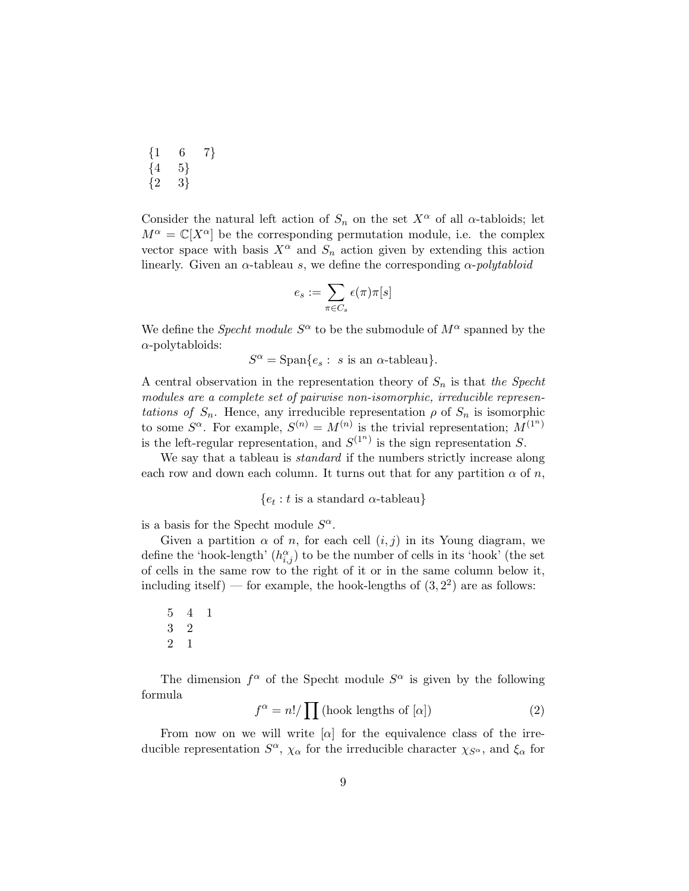| $\{1$ | 6  | 7} |
|-------|----|----|
| $\{4$ | 5} |    |
| $\{2$ | 3} |    |

Consider the natural left action of  $S_n$  on the set  $X^\alpha$  of all  $\alpha$ -tabloids; let  $M^{\alpha} = \mathbb{C}[X^{\alpha}]$  be the corresponding permutation module, i.e. the complex vector space with basis  $X^{\alpha}$  and  $S_n$  action given by extending this action linearly. Given an  $\alpha$ -tableau s, we define the corresponding  $\alpha$ -polytabloid

$$
e_s := \sum_{\pi \in C_s} \epsilon(\pi) \pi[s]
$$

We define the *Specht module*  $S^{\alpha}$  to be the submodule of  $M^{\alpha}$  spanned by the  $\alpha$ -polytabloids:

 $S^{\alpha} = \text{Span}\{e_s : s \text{ is an } \alpha\text{-tableau}\}.$ 

A central observation in the representation theory of  $S_n$  is that the Specht modules are a complete set of pairwise non-isomorphic, irreducible representations of  $S_n$ . Hence, any irreducible representation  $\rho$  of  $S_n$  is isomorphic to some  $S^{\alpha}$ . For example,  $S^{(n)} = M^{(n)}$  is the trivial representation;  $M^{(1^n)}$ is the left-regular representation, and  $S^{(1^n)}$  is the sign representation S.

We say that a tableau is *standard* if the numbers strictly increase along each row and down each column. It turns out that for any partition  $\alpha$  of n,

 $\{e_t : t \text{ is a standard } \alpha\text{-tableau}\}\$ 

is a basis for the Specht module  $S^{\alpha}$ .

Given a partition  $\alpha$  of n, for each cell  $(i, j)$  in its Young diagram, we define the 'hook-length'  $(h_{i,j}^{\alpha})$  to be the number of cells in its 'hook' (the set of cells in the same row to the right of it or in the same column below it, including itself) — for example, the hook-lengths of  $(3, 2^2)$  are as follows:

5 4 1 3 2 2 1

The dimension  $f^{\alpha}$  of the Specht module  $S^{\alpha}$  is given by the following formula

$$
f^{\alpha} = n! / \prod \text{(hook lengths of } [\alpha])
$$
 (2)

From now on we will write  $\alpha$  for the equivalence class of the irreducible representation  $S^{\alpha}$ ,  $\chi_{\alpha}$  for the irreducible character  $\chi_{S^{\alpha}}$ , and  $\xi_{\alpha}$  for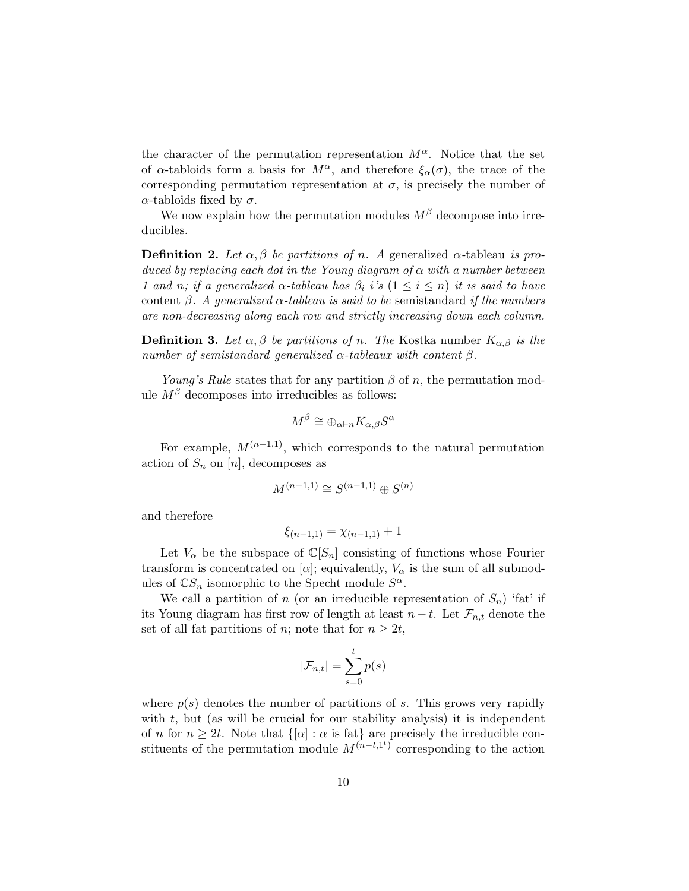the character of the permutation representation  $M^{\alpha}$ . Notice that the set of  $\alpha$ -tabloids form a basis for  $M^{\alpha}$ , and therefore  $\xi_{\alpha}(\sigma)$ , the trace of the corresponding permutation representation at  $\sigma$ , is precisely the number of α-tabloids fixed by  $\sigma$ .

We now explain how the permutation modules  $M^{\beta}$  decompose into irreducibles.

**Definition 2.** Let  $\alpha, \beta$  be partitions of n. A generalized  $\alpha$ -tableau is produced by replacing each dot in the Young diagram of  $\alpha$  with a number between 1 and n; if a generalized  $\alpha$ -tableau has  $\beta_i$  i's  $(1 \leq i \leq n)$  it is said to have content  $\beta$ . A generalized  $\alpha$ -tableau is said to be semistandard if the numbers are non-decreasing along each row and strictly increasing down each column.

**Definition 3.** Let  $\alpha, \beta$  be partitions of n. The Kostka number  $K_{\alpha,\beta}$  is the number of semistandard generalized  $\alpha$ -tableaux with content  $\beta$ .

Young's Rule states that for any partition  $\beta$  of n, the permutation module  $M^{\beta}$  decomposes into irreducibles as follows:

$$
M^{\beta} \cong \oplus_{\alpha \vdash n} K_{\alpha,\beta} S^{\alpha}
$$

For example,  $M^{(n-1,1)}$ , which corresponds to the natural permutation action of  $S_n$  on  $[n]$ , decomposes as

$$
M^{(n-1,1)} \cong S^{(n-1,1)} \oplus S^{(n)}
$$

and therefore

$$
\xi_{(n-1,1)} = \chi_{(n-1,1)} + 1
$$

Let  $V_{\alpha}$  be the subspace of  $\mathbb{C}[S_n]$  consisting of functions whose Fourier transform is concentrated on  $[\alpha]$ ; equivalently,  $V_{\alpha}$  is the sum of all submodules of  $\mathbb{C}S_n$  isomorphic to the Specht module  $S^{\alpha}$ .

We call a partition of n (or an irreducible representation of  $S_n$ ) 'fat' if its Young diagram has first row of length at least  $n - t$ . Let  $\mathcal{F}_{n,t}$  denote the set of all fat partitions of n; note that for  $n \geq 2t$ ,

$$
|\mathcal{F}_{n,t}| = \sum_{s=0}^{t} p(s)
$$

where  $p(s)$  denotes the number of partitions of s. This grows very rapidly with  $t$ , but (as will be crucial for our stability analysis) it is independent of n for  $n \geq 2t$ . Note that  $\{[\alpha] : \alpha \text{ is fat}\}\$ are precisely the irreducible constituents of the permutation module  $M^{(n-t,1^t)}$  corresponding to the action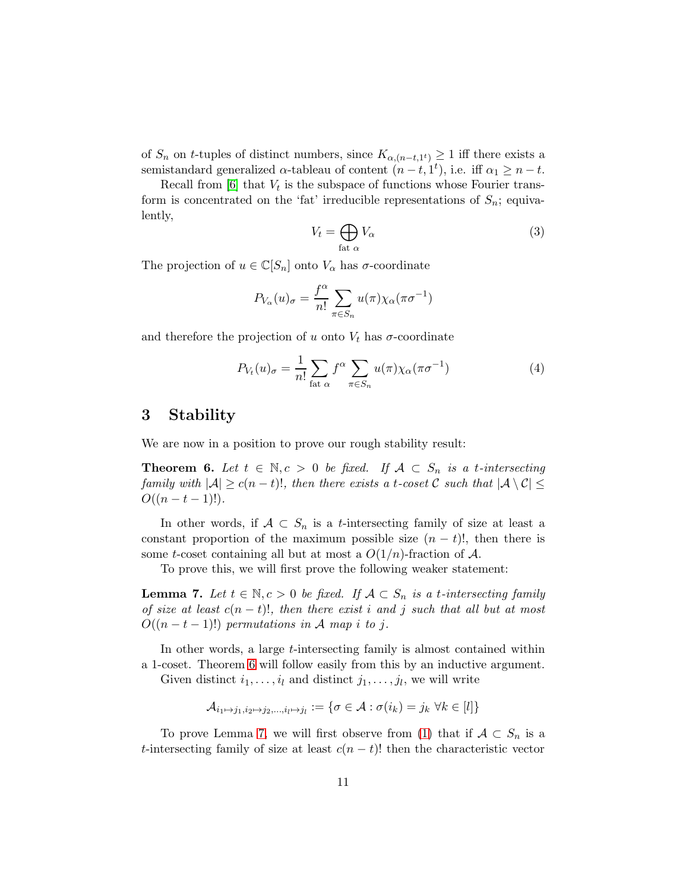of  $S_n$  on t-tuples of distinct numbers, since  $K_{\alpha,(n-t,1^t)} \geq 1$  iff there exists a semistandard generalized  $\alpha$ -tableau of content  $(n-t, 1^t)$ , i.e. iff  $\alpha_1 \geq n-t$ .

Recall from  $[6]$  that  $V_t$  is the subspace of functions whose Fourier transform is concentrated on the 'fat' irreducible representations of  $S_n$ ; equivalently,

$$
V_t = \bigoplus_{\text{fat }\alpha} V_\alpha \tag{3}
$$

The projection of  $u \in \mathbb{C}[S_n]$  onto  $V_\alpha$  has  $\sigma$ -coordinate

$$
P_{V_{\alpha}}(u)_{\sigma} = \frac{f^{\alpha}}{n!} \sum_{\pi \in S_n} u(\pi) \chi_{\alpha}(\pi \sigma^{-1})
$$

and therefore the projection of u onto  $V_t$  has  $\sigma$ -coordinate

<span id="page-10-2"></span>
$$
P_{V_t}(u)_{\sigma} = \frac{1}{n!} \sum_{\text{fat } \alpha} f^{\alpha} \sum_{\pi \in S_n} u(\pi) \chi_{\alpha}(\pi \sigma^{-1})
$$
(4)

## 3 Stability

We are now in a position to prove our rough stability result:

<span id="page-10-0"></span>**Theorem 6.** Let  $t \in \mathbb{N}, c > 0$  be fixed. If  $A \subset S_n$  is a t-intersecting family with  $|\mathcal{A}| \geq c(n-t)!$ , then there exists a t-coset C such that  $|\mathcal{A} \setminus \mathcal{C}| \leq$  $O((n-t-1)!).$ 

In other words, if  $A \subset S_n$  is a *t*-intersecting family of size at least a constant proportion of the maximum possible size  $(n - t)!$ , then there is some t-coset containing all but at most a  $O(1/n)$ -fraction of A.

To prove this, we will first prove the following weaker statement:

<span id="page-10-1"></span>**Lemma 7.** Let  $t \in \mathbb{N}, c > 0$  be fixed. If  $\mathcal{A} \subset S_n$  is a t-intersecting family of size at least  $c(n-t)!$ , then there exist i and j such that all but at most  $O((n-t-1)!)$  permutations in A map i to j.

In other words, a large *t*-intersecting family is almost contained within a 1-coset. Theorem [6](#page-10-0) will follow easily from this by an inductive argument. Given distinct  $i_1, \ldots, i_l$  and distinct  $j_1, \ldots, j_l$ , we will write

$$
\mathcal{A}_{i_1\mapsto j_1,i_2\mapsto j_2,\dots,i_l\mapsto j_l}:=\{\sigma\in\mathcal{A}:\sigma(i_k)=j_k\ \forall k\in[l]\}
$$

To prove Lemma [7,](#page-10-1) we will first observe from [\(1\)](#page-5-0) that if  $A \subset S_n$  is a t-intersecting family of size at least  $c(n - t)!$  then the characteristic vector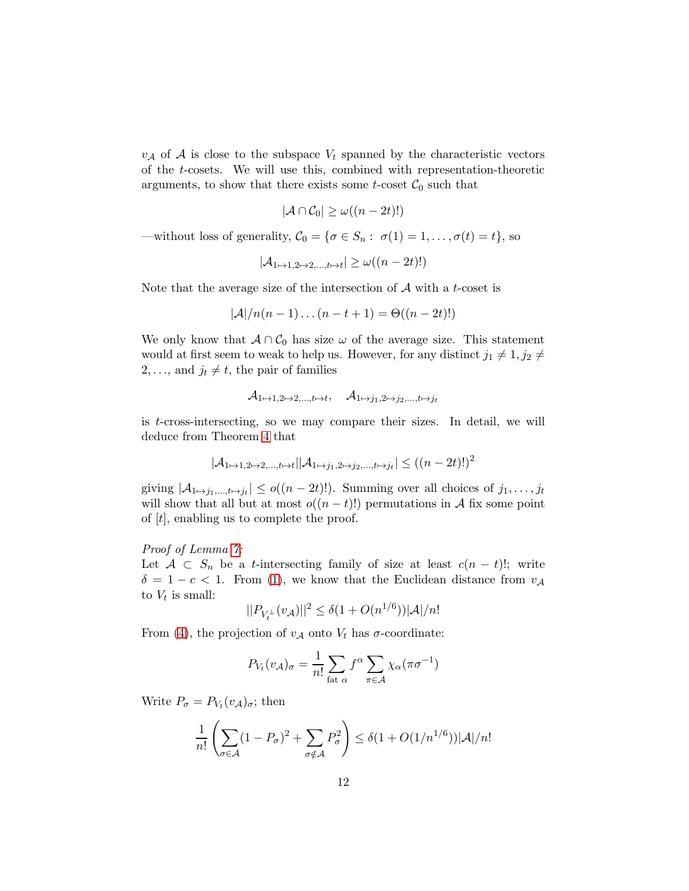$v_A$  of A is close to the subspace  $V_t$  spanned by the characteristic vectors of the t-cosets. We will use this, combined with representation-theoretic arguments, to show that there exists some *t*-coset  $C_0$  such that

$$
|\mathcal{A} \cap \mathcal{C}_0| \ge \omega((n-2t)!)
$$

—without loss of generality,  $C_0 = \{ \sigma \in S_n : \sigma(1) = 1, \ldots, \sigma(t) = t \}$ , so

$$
|\mathcal{A}_{1\mapsto 1,2\mapsto 2,\dots,t\mapsto t}| \ge \omega((n-2t)!)
$$

Note that the average size of the intersection of  $A$  with a t-coset is

$$
|\mathcal{A}|/n(n-1)\dots(n-t+1)=\Theta((n-2t)!)
$$

We only know that  $A \cap C_0$  has size  $\omega$  of the average size. This statement would at first seem to weak to help us. However, for any distinct  $j_1 \neq 1, j_2 \neq \emptyset$ 2, ..., and  $j_t \neq t$ , the pair of families

$$
\mathcal{A}_{1\mapsto 1,2\mapsto 2,...,t\mapsto t},\quad \mathcal{A}_{1\mapsto j_1,2\mapsto j_2,...,t\mapsto j_t}
$$

is t-cross-intersecting, so we may compare their sizes. In detail, we will deduce from Theorem [4](#page-3-1) that

$$
|\mathcal{A}_{1\mapsto 1,2\mapsto 2,\dots,t\mapsto t}| |\mathcal{A}_{1\mapsto j_1,2\mapsto j_2,\dots,t\mapsto j_t}| \le ((n-2t)!)^2
$$

giving  $|\mathcal{A}_{1\mapsto j_1,\dots,t\mapsto j_t}| \leq o((n-2t)!)$ . Summing over all choices of  $j_1,\dots,j_t$ will show that all but at most  $o((n-t)!)$  permutations in A fix some point of  $[t]$ , enabling us to complete the proof.

### Proof of Lemma [7:](#page-10-1)

Let  $A \subset S_n$  be a t-intersecting family of size at least  $c(n-t)!$ ; write  $\delta = 1 - c < 1$ . From [\(1\)](#page-5-0), we know that the Euclidean distance from  $v_{\mathcal{A}}$ to  $V_t$  is small:

$$
||P_{V_t^{\perp}}(v_{\mathcal{A}})||^2 \le \delta(1 + O(n^{1/6}))|\mathcal{A}|/n!
$$

From [\(4\)](#page-10-2), the projection of  $v_A$  onto  $V_t$  has  $\sigma$ -coordinate:

$$
P_{V_t}(v_{\mathcal{A}})_{\sigma} = \frac{1}{n!} \sum_{\text{fat } \alpha} f^{\alpha} \sum_{\pi \in \mathcal{A}} \chi_{\alpha}(\pi \sigma^{-1})
$$

Write  $P_{\sigma} = P_{V_t}(v_{\mathcal{A}})_{\sigma}$ ; then

$$
\frac{1}{n!} \left( \sum_{\sigma \in \mathcal{A}} (1 - P_{\sigma})^2 + \sum_{\sigma \notin \mathcal{A}} P_{\sigma}^2 \right) \le \delta (1 + O(1/n^{1/6})) |\mathcal{A}| / n!
$$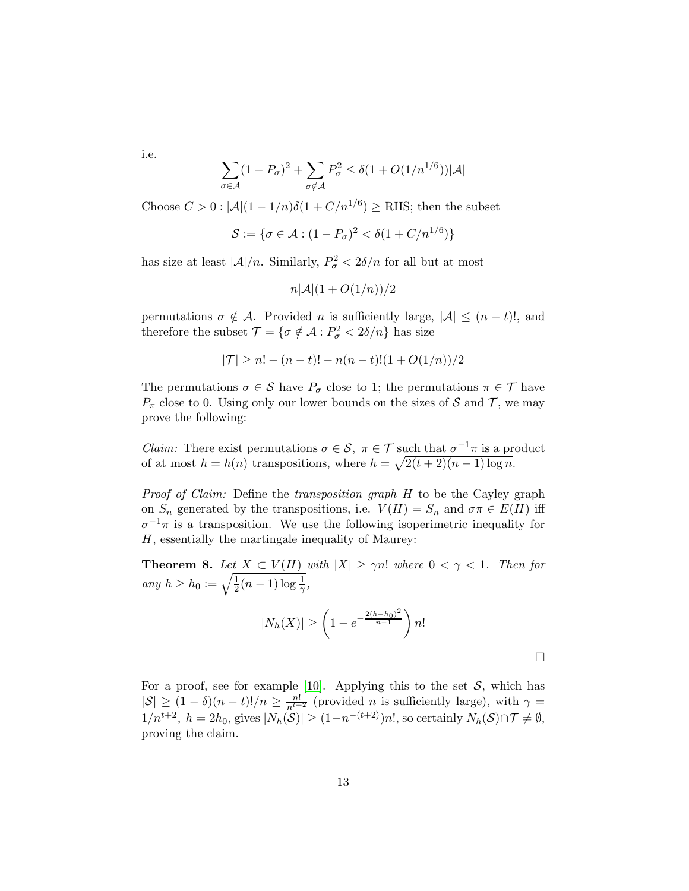i.e.

$$
\sum_{\sigma \in \mathcal{A}} (1 - P_{\sigma})^2 + \sum_{\sigma \notin \mathcal{A}} P_{\sigma}^2 \le \delta (1 + O(1/n^{1/6})) |\mathcal{A}|
$$

Choose  $C > 0$ :  $|\mathcal{A}|(1 - 1/n)\delta(1 + C/n^{1/6}) \ge$  RHS; then the subset

$$
\mathcal{S} := \{ \sigma \in \mathcal{A} : (1 - P_{\sigma})^2 < \delta (1 + C/n^{1/6}) \}
$$

has size at least  $|\mathcal{A}|/n$ . Similarly,  $P^2_{\sigma} < 2\delta/n$  for all but at most

$$
n|\mathcal{A}|(1+O(1/n))/2
$$

permutations  $\sigma \notin A$ . Provided n is sufficiently large,  $|A| \leq (n-t)!$ , and therefore the subset  $\mathcal{T} = {\sigma \notin \mathcal{A} : P^2_{\sigma} < 2\delta/n}$  has size

$$
|\mathcal{T}| \ge n! - (n-t)! - n(n-t)!(1+O(1/n))/2
$$

The permutations  $\sigma \in \mathcal{S}$  have  $P_{\sigma}$  close to 1; the permutations  $\pi \in \mathcal{T}$  have  $P_{\pi}$  close to 0. Using only our lower bounds on the sizes of S and T, we may prove the following:

*Claim:* There exist permutations  $\sigma \in \mathcal{S}$ ,  $\pi \in \mathcal{T}$  such that  $\sigma^{-1}\pi$  is a product of at most  $h = h(n)$  transpositions, where  $h = \sqrt{2(t+2)(n-1)\log n}$ .

Proof of Claim: Define the transposition graph H to be the Cayley graph on  $S_n$  generated by the transpositions, i.e.  $V(H) = S_n$  and  $\sigma \pi \in E(H)$  iff  $\sigma^{-1}\pi$  is a transposition. We use the following isoperimetric inequality for H, essentially the martingale inequality of Maurey:

**Theorem 8.** Let  $X \subset V(H)$  with  $|X| \ge \gamma n!$  where  $0 < \gamma < 1$ . Then for any  $h \ge h_0 := \sqrt{\frac{1}{2}(n-1)\log \frac{1}{\gamma}}$ ,

$$
|N_h(X)| \ge \left(1 - e^{-\frac{2(h - h_0)^2}{n - 1}}\right) n!
$$

For a proof, see for example [\[10\]](#page-27-4). Applying this to the set  $S$ , which has  $|S| \ge (1 - \delta)(n - t)!/n \ge \frac{n!}{n^{t+2}}$  (provided *n* is sufficiently large), with  $\gamma =$  $1/n^{t+2}$ ,  $h = 2h_0$ , gives  $|N_h(\mathcal{S})| \ge (1 - n^{-(t+2)})n!$ , so certainly  $N_h(\mathcal{S}) \cap \mathcal{T} \neq \emptyset$ , proving the claim.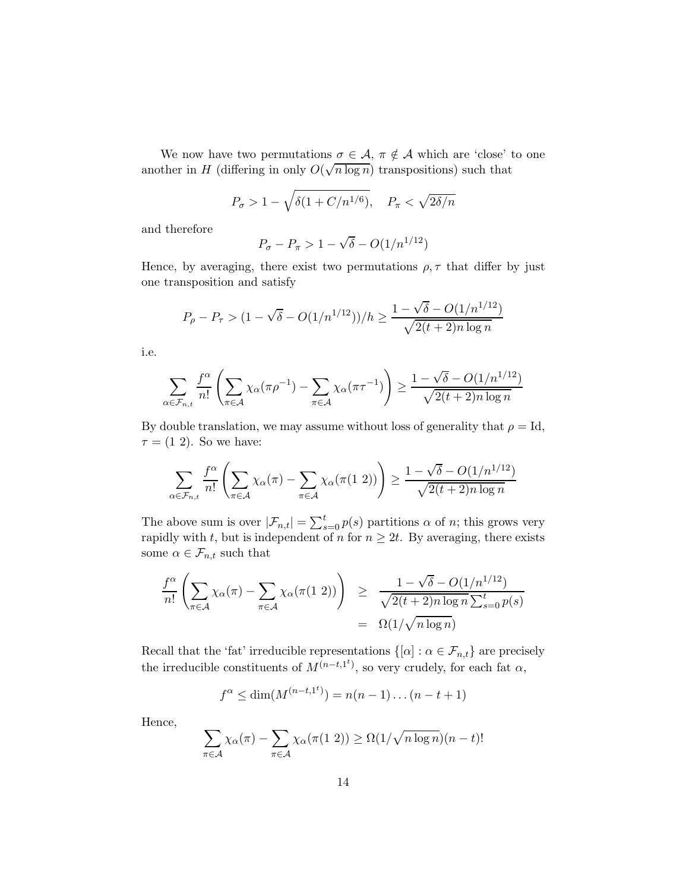We now have two permutations  $\sigma \in \mathcal{A}$ ,  $\pi \notin \mathcal{A}$  which are 'close' to one another in H (differing in only  $O(\sqrt{n \log n})$  transpositions) such that

$$
P_{\sigma} > 1 - \sqrt{\delta(1 + C/n^{1/6})}, \quad P_{\pi} < \sqrt{2\delta/n}
$$

and therefore

$$
P_{\sigma} - P_{\pi} > 1 - \sqrt{\delta} - O(1/n^{1/12})
$$

Hence, by averaging, there exist two permutations  $\rho, \tau$  that differ by just one transposition and satisfy

$$
P_{\rho} - P_{\tau} > (1 - \sqrt{\delta} - O(1/n^{1/12})) / h \ge \frac{1 - \sqrt{\delta} - O(1/n^{1/12})}{\sqrt{2(t+2)n \log n}}
$$

i.e.

$$
\sum_{\alpha \in \mathcal{F}_{n,t}} \frac{f^{\alpha}}{n!} \left( \sum_{\pi \in \mathcal{A}} \chi_{\alpha}(\pi \rho^{-1}) - \sum_{\pi \in \mathcal{A}} \chi_{\alpha}(\pi \tau^{-1}) \right) \ge \frac{1 - \sqrt{\delta} - O(1/n^{1/12})}{\sqrt{2(t+2)n \log n}}
$$

By double translation, we may assume without loss of generality that  $\rho = Id$ ,  $\tau = (1 2)$ . So we have:

$$
\sum_{\alpha \in \mathcal{F}_{n,t}} \frac{f^{\alpha}}{n!} \left( \sum_{\pi \in \mathcal{A}} \chi_{\alpha}(\pi) - \sum_{\pi \in \mathcal{A}} \chi_{\alpha}(\pi(1\ 2)) \right) \ge \frac{1 - \sqrt{\delta} - O(1/n^{1/12})}{\sqrt{2(t+2)n \log n}}
$$

The above sum is over  $|\mathcal{F}_{n,t}| = \sum_{s=0}^{t} p(s)$  partitions  $\alpha$  of n; this grows very rapidly with t, but is independent of n for  $n \geq 2t$ . By averaging, there exists some  $\alpha \in \mathcal{F}_{n,t}$  such that

$$
\frac{f^{\alpha}}{n!} \left( \sum_{\pi \in \mathcal{A}} \chi_{\alpha}(\pi) - \sum_{\pi \in \mathcal{A}} \chi_{\alpha}(\pi(1\ 2)) \right) \geq \frac{1 - \sqrt{\delta} - O(1/n^{1/12})}{\sqrt{2(t+2)n \log n} \sum_{s=0}^{t} p(s)} = \Omega(1/\sqrt{n \log n})
$$

Recall that the 'fat' irreducible representations  $\{[\alpha] : \alpha \in \mathcal{F}_{n,t}\}$  are precisely the irreducible constituents of  $M^{(n-t,1<sup>t</sup>)}$ , so very crudely, for each fat  $\alpha$ ,

$$
f^{\alpha} \le \dim(M^{(n-t,1^t)}) = n(n-1)...(n-t+1)
$$

Hence,

$$
\sum_{\pi \in \mathcal{A}} \chi_{\alpha}(\pi) - \sum_{\pi \in \mathcal{A}} \chi_{\alpha}(\pi(1\ 2)) \ge \Omega(1/\sqrt{n \log n})(n-t)!
$$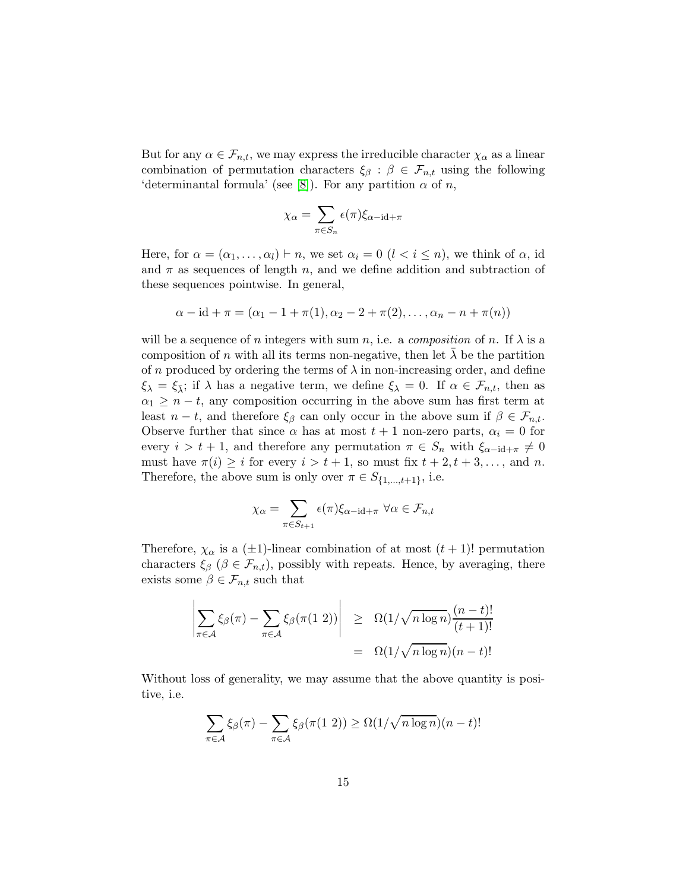But for any  $\alpha \in \mathcal{F}_{n,t}$ , we may express the irreducible character  $\chi_{\alpha}$  as a linear combination of permutation characters  $\xi_{\beta} : \beta \in \mathcal{F}_{n,t}$  using the following 'determinantal formula' (see [\[8\]](#page-27-5)). For any partition  $\alpha$  of n,

$$
\chi_{\alpha} = \sum_{\pi \in S_n} \epsilon(\pi) \xi_{\alpha - \mathrm{id} + \pi}
$$

Here, for  $\alpha = (\alpha_1, \ldots, \alpha_l) \vdash n$ , we set  $\alpha_i = 0$   $(l < i \leq n)$ , we think of  $\alpha$ , id and  $\pi$  as sequences of length n, and we define addition and subtraction of these sequences pointwise. In general,

$$
\alpha - id + \pi = (\alpha_1 - 1 + \pi(1), \alpha_2 - 2 + \pi(2), \dots, \alpha_n - n + \pi(n))
$$

will be a sequence of n integers with sum n, i.e. a composition of n. If  $\lambda$  is a composition of n with all its terms non-negative, then let  $\lambda$  be the partition of n produced by ordering the terms of  $\lambda$  in non-increasing order, and define  $\xi_{\lambda} = \xi_{\overline{\lambda}}$ ; if  $\lambda$  has a negative term, we define  $\xi_{\lambda} = 0$ . If  $\alpha \in \mathcal{F}_{n,t}$ , then as  $\alpha_1 \geq n-t$ , any composition occurring in the above sum has first term at least  $n - t$ , and therefore  $\xi_{\beta}$  can only occur in the above sum if  $\beta \in \mathcal{F}_{n,t}$ . Observe further that since  $\alpha$  has at most  $t + 1$  non-zero parts,  $\alpha_i = 0$  for every  $i > t + 1$ , and therefore any permutation  $\pi \in S_n$  with  $\xi_{\alpha-i}$  +  $\pi \neq 0$ must have  $\pi(i) \geq i$  for every  $i > t + 1$ , so must fix  $t + 2, t + 3, \ldots$ , and n. Therefore, the above sum is only over  $\pi \in S_{\{1,\dots,t+1\}}$ , i.e.

$$
\chi_{\alpha} = \sum_{\pi \in S_{t+1}} \epsilon(\pi) \xi_{\alpha - \mathrm{id} + \pi} \ \forall \alpha \in \mathcal{F}_{n,t}
$$

Therefore,  $\chi_{\alpha}$  is a ( $\pm 1$ )-linear combination of at most  $(t + 1)!$  permutation characters  $\xi_{\beta}$  ( $\beta \in \mathcal{F}_{n,t}$ ), possibly with repeats. Hence, by averaging, there exists some  $\beta \in \mathcal{F}_{n,t}$  such that

$$
\left| \sum_{\pi \in \mathcal{A}} \xi_{\beta}(\pi) - \sum_{\pi \in \mathcal{A}} \xi_{\beta}(\pi(1\ 2)) \right| \geq \Omega(1/\sqrt{n \log n}) \frac{(n-t)!}{(t+1)!}
$$
  
=  $\Omega(1/\sqrt{n \log n})(n-t)!$ 

Without loss of generality, we may assume that the above quantity is positive, i.e.

$$
\sum_{\pi \in \mathcal{A}} \xi_{\beta}(\pi) - \sum_{\pi \in \mathcal{A}} \xi_{\beta}(\pi(1\ 2)) \ge \Omega(1/\sqrt{n \log n})(n-t)!
$$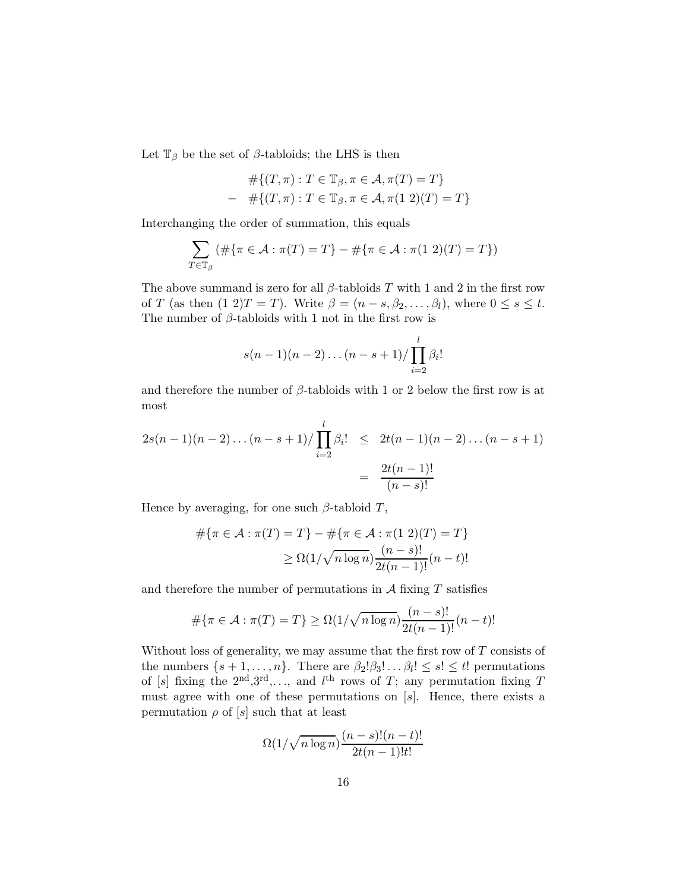Let  $\mathbb{T}_{\beta}$  be the set of  $\beta$ -tabloids; the LHS is then

$$
\#\{(T,\pi): T \in \mathbb{T}_{\beta}, \pi \in \mathcal{A}, \pi(T) = T\}
$$
  
- 
$$
\#\{(T,\pi): T \in \mathbb{T}_{\beta}, \pi \in \mathcal{A}, \pi(1\ 2)(T) = T\}
$$

Interchanging the order of summation, this equals

$$
\sum_{T \in \mathbb{T}_{\beta}} (\#\{\pi \in \mathcal{A} : \pi(T) = T\} - \#\{\pi \in \mathcal{A} : \pi(1\ 2)(T) = T\})
$$

The above summand is zero for all  $\beta$ -tabloids T with 1 and 2 in the first row of T (as then  $(1\ 2)T = T$ ). Write  $\beta = (n - s, \beta_2, \dots, \beta_l)$ , where  $0 \le s \le t$ . The number of  $\beta$ -tabloids with 1 not in the first row is

$$
s(n-1)(n-2)...(n-s+1)/\prod_{i=2}^{l} \beta_i!
$$

and therefore the number of  $\beta$ -tabloids with 1 or 2 below the first row is at most

$$
2s(n-1)(n-2)\dots(n-s+1)/\prod_{i=2}^{l} \beta_i! \leq 2t(n-1)(n-2)\dots(n-s+1)
$$
  
= 
$$
\frac{2t(n-1)!}{(n-s)!}
$$

Hence by averaging, for one such  $\beta$ -tabloid T,

$$
\#\{\pi \in \mathcal{A} : \pi(T) = T\} - \#\{\pi \in \mathcal{A} : \pi(1\ 2)(T) = T\}
$$

$$
\geq \Omega(1/\sqrt{n \log n}) \frac{(n-s)!}{2t(n-1)!} (n-t)!
$$

and therefore the number of permutations in  $A$  fixing  $T$  satisfies

$$
\#\{\pi \in \mathcal{A} : \pi(T) = T\} \ge \Omega(1/\sqrt{n \log n}) \frac{(n-s)!}{2t(n-1)!} (n-t)!
$$

Without loss of generality, we may assume that the first row of  $T$  consists of the numbers  $\{s+1,\ldots,n\}$ . There are  $\beta_2!\beta_3!\ldots\beta_l! \leq s! \leq t!$  permutations of [s] fixing the  $2<sup>nd</sup>, 3<sup>rd</sup>, \ldots$ , and  $l<sup>th</sup>$  rows of T; any permutation fixing T must agree with one of these permutations on  $[s]$ . Hence, there exists a permutation  $\rho$  of [s] such that at least

$$
\Omega(1/\sqrt{n\log n})\frac{(n-s)!(n-t)!}{2t(n-1)!t!}
$$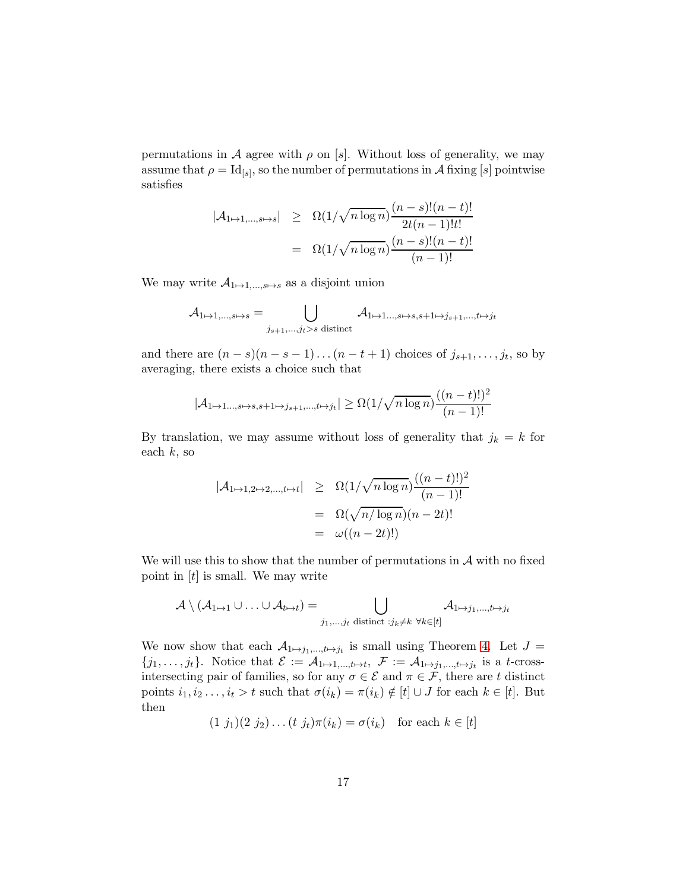permutations in A agree with  $\rho$  on [s]. Without loss of generality, we may assume that  $\rho = \text{Id}_{[s]}$ , so the number of permutations in  $\mathcal A$  fixing  $[s]$  pointwise satisfies

$$
|\mathcal{A}_{1\mapsto 1,\dots,s\mapsto s}| \ge \Omega(1/\sqrt{n \log n}) \frac{(n-s)!(n-t)!}{2t(n-1)!t!}
$$
  
=  $\Omega(1/\sqrt{n \log n}) \frac{(n-s)!(n-t)!}{(n-1)!}$ 

We may write  $A_{1\mapsto 1,\dots,s\mapsto s}$  as a disjoint union

$$
\mathcal{A}_{1\mapsto 1,\dots,s\mapsto s} = \bigcup_{j_{s+1},\dots,j_t>s \text{ distinct}} \mathcal{A}_{1\mapsto 1\dots,s\mapsto s,s+1\mapsto j_{s+1},\dots,t\mapsto j_t}
$$

and there are  $(n-s)(n-s-1)...(n-t+1)$  choices of  $j_{s+1},...,j_t$ , so by averaging, there exists a choice such that

$$
|\mathcal{A}_{1\mapsto 1\dots,s\mapsto s,s+1\mapsto j_{s+1},...,t\mapsto j_{t}}| \ge \Omega(1/\sqrt{n\log n})\frac{((n-t)!)^{2}}{(n-1)!}
$$

By translation, we may assume without loss of generality that  $j_k = k$  for each  $k$ , so

$$
|\mathcal{A}_{1\mapsto 1,2\mapsto 2,\dots,t\mapsto t}| \geq \Omega(1/\sqrt{n \log n})\frac{((n-t)!)^2}{(n-1)!}
$$
  
=  $\Omega(\sqrt{n/\log n})(n-2t)!$   
=  $\omega((n-2t)!)$ 

We will use this to show that the number of permutations in  $A$  with no fixed point in  $[t]$  is small. We may write

$$
\mathcal{A} \setminus (\mathcal{A}_{1\mapsto 1}\cup\ldots\cup\mathcal{A}_{t\mapsto t}) = \bigcup_{j_1,\ldots,j_t \text{ distinct } : j_k\neq k \text{ } \forall k\in [t]} \mathcal{A}_{1\mapsto j_1,\ldots,t\mapsto j_t}
$$

We now show that each  $A_{1\mapsto j_1,\dots,t\mapsto j_t}$  is small using Theorem [4.](#page-3-1) Let  $J =$  $\{j_1,\ldots,j_t\}$ . Notice that  $\mathcal{E} := \mathcal{A}_{1\mapsto 1,\ldots,t\mapsto t}$ ,  $\mathcal{F} := \mathcal{A}_{1\mapsto j_1,\ldots,t\mapsto j_t}$  is a t-crossintersecting pair of families, so for any  $\sigma \in \mathcal{E}$  and  $\pi \in \mathcal{F}$ , there are t distinct points  $i_1, i_2, \ldots, i_t > t$  such that  $\sigma(i_k) = \pi(i_k) \notin [t] \cup J$  for each  $k \in [t]$ . But then

$$
(1\,\,j_1)(2\,\,j_2)\ldots(t\,\,j_t)\pi(i_k)=\sigma(i_k)\quad\text{for each }k\in[t]
$$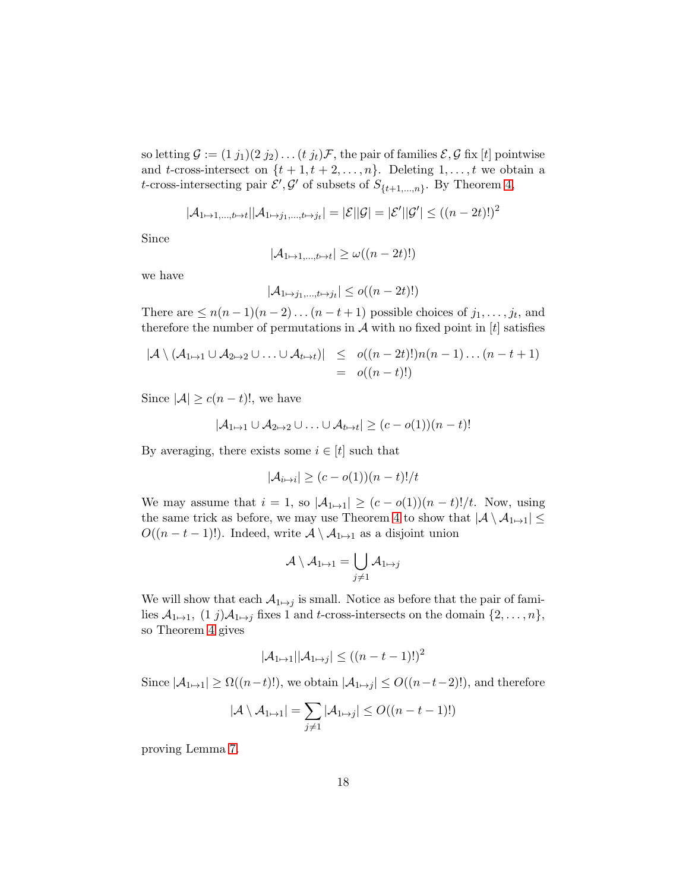so letting  $\mathcal{G} := (1 j_1)(2 j_2) \dots (t j_t)\mathcal{F}$ , the pair of families  $\mathcal{E}, \mathcal{G}$  fix [t] pointwise and t-cross-intersect on  $\{t+1, t+2, \ldots, n\}$ . Deleting  $1, \ldots, t$  we obtain a t-cross-intersecting pair  $\mathcal{E}', \mathcal{G}'$  of subsets of  $S_{\{t+1,\ldots,n\}}$ . By Theorem [4,](#page-3-1)

$$
|\mathcal{A}_{1\mapsto 1,\dots,t\mapsto t}||\mathcal{A}_{1\mapsto j_1,\dots,t\mapsto j_t}|=|\mathcal{E}||\mathcal{G}|=|\mathcal{E}'||\mathcal{G}'|\leq ((n-2t)!)^2
$$

Since

$$
|\mathcal{A}_{1\mapsto 1,\dots,t\mapsto t}| \ge \omega((n-2t)!)
$$

we have

$$
|\mathcal{A}_{1\mapsto j_1,\dots,t\mapsto j_t}| \leq o((n-2t)!)
$$

There are  $\leq n(n-1)(n-2)...(n-t+1)$  possible choices of  $j_1,...,j_t$ , and therefore the number of permutations in  $A$  with no fixed point in  $[t]$  satisfies

$$
|\mathcal{A} \setminus (\mathcal{A}_{1\mapsto 1} \cup \mathcal{A}_{2\mapsto 2} \cup \ldots \cup \mathcal{A}_{t\mapsto t})| \leq o((n-2t)!)n(n-1)\ldots (n-t+1)
$$
  
=  $o((n-t)!)$ 

Since  $|\mathcal{A}| \geq c(n-t)!$ , we have

$$
|\mathcal{A}_{1\mapsto 1}\cup \mathcal{A}_{2\mapsto 2}\cup \ldots \cup \mathcal{A}_{t\mapsto t}| \geq (c-o(1))(n-t)!
$$

By averaging, there exists some  $i \in [t]$  such that

$$
|\mathcal{A}_{i \mapsto i}| \ge (c - o(1))(n - t)!/t
$$

We may assume that  $i = 1$ , so  $|A_{1\mapsto 1}| \ge (c - o(1))(n - t)!/t$ . Now, using the same trick as before, we may use Theorem [4](#page-3-1) to show that  $|\mathcal{A} \setminus \mathcal{A}_{1\mapsto 1}| \leq$  $O((n-t-1)!)$ . Indeed, write  $\mathcal{A}\setminus\mathcal{A}_{1\mapsto 1}$  as a disjoint union

$$
\mathcal{A} \setminus \mathcal{A}_{1 \mapsto 1} = \bigcup_{j \neq 1} \mathcal{A}_{1 \mapsto j}
$$

We will show that each  $\mathcal{A}_{1\mapsto j}$  is small. Notice as before that the pair of families  $\mathcal{A}_{1\mapsto 1}$ ,  $(1 \; j)\mathcal{A}_{1\mapsto j}$  fixes 1 and t-cross-intersects on the domain  $\{2, \ldots, n\}$ , so Theorem [4](#page-3-1) gives

$$
|\mathcal{A}_{1\mapsto 1}||\mathcal{A}_{1\mapsto j}| \le ((n-t-1)!)^2
$$

Since  $|\mathcal{A}_{1\mapsto 1}| \geq \Omega((n-t)!)$ , we obtain  $|\mathcal{A}_{1\mapsto j}| \leq O((n-t-2)!)$ , and therefore

$$
|\mathcal{A} \setminus \mathcal{A}_{1 \mapsto 1}| = \sum_{j \neq 1} |\mathcal{A}_{1 \mapsto j}| \leq O((n - t - 1)!)
$$

proving Lemma [7.](#page-10-1)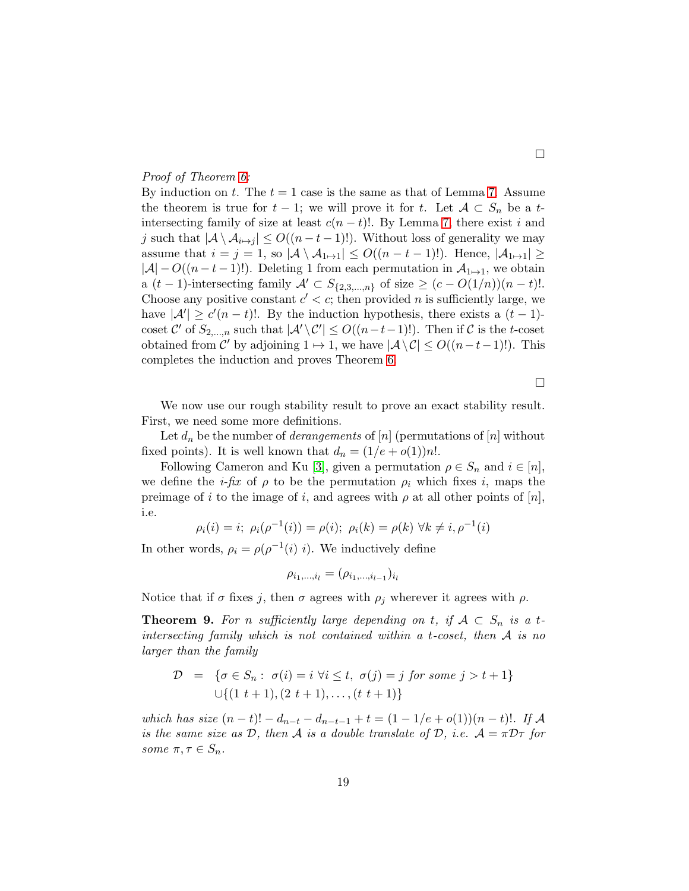### Proof of Theorem [6:](#page-10-0)

By induction on t. The  $t = 1$  case is the same as that of Lemma [7.](#page-10-1) Assume the theorem is true for  $t - 1$ ; we will prove it for t. Let  $A \subset S_n$  be a tintersecting family of size at least  $c(n - t)$ !. By Lemma [7,](#page-10-1) there exist i and j such that  $|A \setminus A_{i \mapsto j}| \leq O((n-t-1)!)$ . Without loss of generality we may assume that  $i = j = 1$ , so  $|\mathcal{A} \setminus \mathcal{A}_{1 \mapsto 1}| \leq O((n - t - 1)!)$ . Hence,  $|\mathcal{A}_{1 \mapsto 1}| \geq$  $|A| - O((n - t - 1)!)$ . Deleting 1 from each permutation in  $A_{1\mapsto 1}$ , we obtain a  $(t-1)$ -intersecting family  $\mathcal{A}' \subset S_{\{2,3,\ldots,n\}}$  of size  $\geq (c-O(1/n))(n-t)!$ . Choose any positive constant  $c' < c$ ; then provided n is sufficiently large, we have  $|\mathcal{A}'| \ge c'(n-t)!$ . By the induction hypothesis, there exists a  $(t-1)$ coset  $\mathcal{C}'$  of  $S_{2,\dots,n}$  such that  $|\mathcal{A}'\setminus \mathcal{C}'| \leq O((n-t-1)!)$ . Then if  $\mathcal{C}$  is the t-coset obtained from  $\mathcal{C}'$  by adjoining  $1 \mapsto 1$ , we have  $|\mathcal{A} \setminus \mathcal{C}| \le O((n-t-1)!)$ . This completes the induction and proves Theorem [6.](#page-10-0)

 $\Box$ 

We now use our rough stability result to prove an exact stability result. First, we need some more definitions.

Let  $d_n$  be the number of *derangements* of [n] (permutations of [n] without fixed points). It is well known that  $d_n = (1/e + o(1))n!$ .

Following Cameron and Ku [\[3\]](#page-26-2), given a permutation  $\rho \in S_n$  and  $i \in [n]$ , we define the *i-fix* of  $\rho$  to be the permutation  $\rho_i$  which fixes *i*, maps the preimage of i to the image of i, and agrees with  $\rho$  at all other points of  $[n]$ , i.e.

$$
\rho_i(i) = i; \ \rho_i(\rho^{-1}(i)) = \rho(i); \ \rho_i(k) = \rho(k) \ \forall k \neq i, \rho^{-1}(i)
$$

In other words,  $\rho_i = \rho(\rho^{-1}(i) i)$ . We inductively define

$$
\rho_{i_1,\dots,i_l}=(\rho_{i_1,\dots,i_{l-1}})_{i_l}
$$

Notice that if  $\sigma$  fixes j, then  $\sigma$  agrees with  $\rho_i$  wherever it agrees with  $\rho$ .

<span id="page-18-0"></span>**Theorem 9.** For n sufficiently large depending on t, if  $A \subset S_n$  is a tintersecting family which is not contained within a t-coset, then  $A$  is no larger than the family

$$
\mathcal{D} = \{ \sigma \in S_n : \ \sigma(i) = i \ \forall i \le t, \ \sigma(j) = j \ \text{for some} \ j > t + 1 \}
$$
  
 
$$
\cup \{ (1 \ t + 1), (2 \ t + 1), \dots, (t \ t + 1) \}
$$

which has size  $(n-t)! - d_{n-t} - d_{n-t-1} + t = (1 - 1/e + o(1))(n-t)!$ . If A is the same size as  $D$ , then  $A$  is a double translate of  $D$ , i.e.  $A = \pi D\tau$  for some  $\pi, \tau \in S_n$ .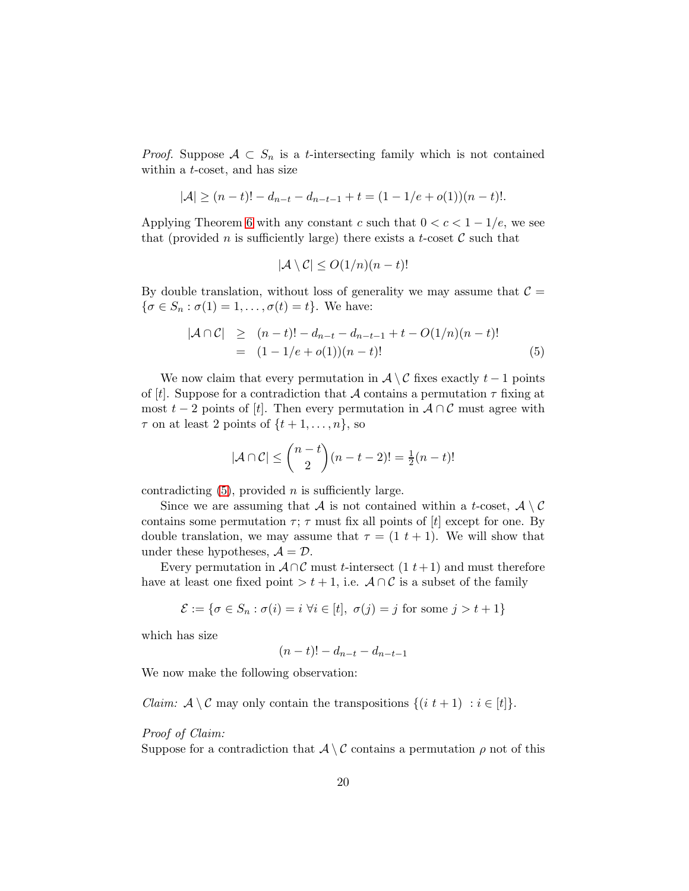*Proof.* Suppose  $A \subset S_n$  is a *t*-intersecting family which is not contained within a t-coset, and has size

$$
|\mathcal{A}| \ge (n-t)! - d_{n-t} - d_{n-t-1} + t = (1 - 1/e + o(1))(n-t)!.
$$

Applying Theorem [6](#page-10-0) with any constant c such that  $0 < c < 1 - 1/e$ , we see that (provided n is sufficiently large) there exists a t-coset  $\mathcal C$  such that

$$
|\mathcal{A} \setminus \mathcal{C}| \le O(1/n)(n-t)!
$$

By double translation, without loss of generality we may assume that  $\mathcal{C} =$  $\{\sigma \in S_n : \sigma(1) = 1, \ldots, \sigma(t) = t\}.$  We have:

<span id="page-19-0"></span>
$$
|\mathcal{A} \cap \mathcal{C}| \ge (n-t)! - d_{n-t} - d_{n-t-1} + t - O(1/n)(n-t)! = (1 - 1/e + o(1))(n-t)!
$$
 (5)

We now claim that every permutation in  $\mathcal{A} \setminus \mathcal{C}$  fixes exactly  $t - 1$  points of [t]. Suppose for a contradiction that A contains a permutation  $\tau$  fixing at most  $t-2$  points of [t]. Then every permutation in  $A \cap C$  must agree with  $\tau$  on at least 2 points of  $\{t+1,\ldots,n\}$ , so

$$
|\mathcal{A} \cap \mathcal{C}| \le {n-t \choose 2}(n-t-2)! = \frac{1}{2}(n-t)!
$$

contradicting  $(5)$ , provided *n* is sufficiently large.

Since we are assuming that A is not contained within a t-coset,  $\mathcal{A} \setminus \mathcal{C}$ contains some permutation  $\tau$ ;  $\tau$  must fix all points of [t] except for one. By double translation, we may assume that  $\tau = (1 \ t + 1)$ . We will show that under these hypotheses,  $A = \mathcal{D}$ .

Every permutation in  $A \cap C$  must t-intersect  $(1 t+1)$  and must therefore have at least one fixed point > t + 1, i.e.  $A \cap C$  is a subset of the family

$$
\mathcal{E} := \{ \sigma \in S_n : \sigma(i) = i \,\,\forall i \in [t], \,\,\sigma(j) = j \,\,\text{for some}\,\, j > t + 1 \}
$$

which has size

$$
(n-t)! - d_{n-t} - d_{n-t-1}
$$

We now make the following observation:

*Claim:*  $\mathcal{A} \setminus \mathcal{C}$  may only contain the transpositions  $\{(i \ t+1) : i \in [t]\}.$ 

### Proof of Claim:

Suppose for a contradiction that  $\mathcal{A} \setminus \mathcal{C}$  contains a permutation  $\rho$  not of this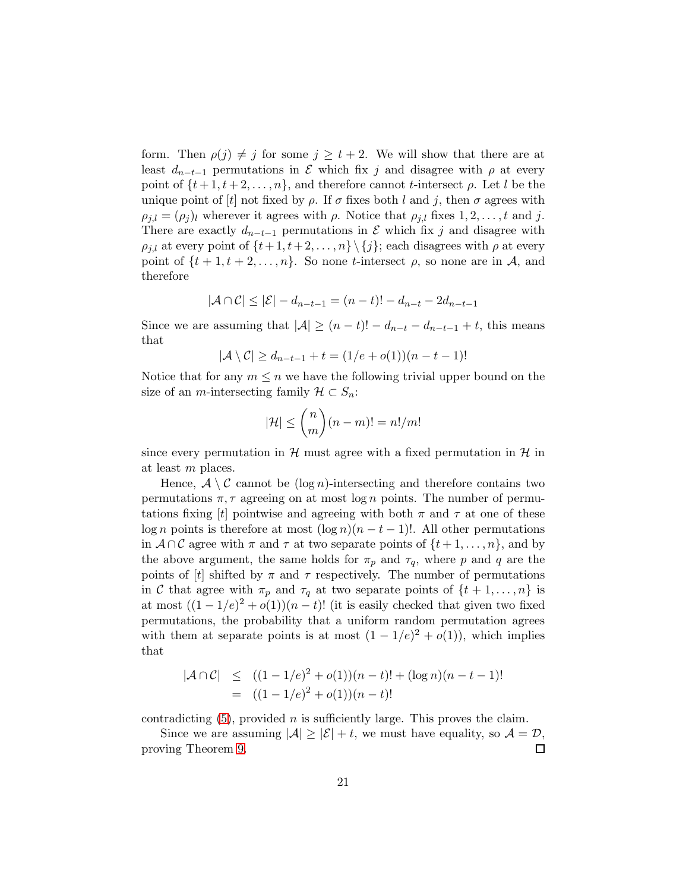form. Then  $\rho(j) \neq j$  for some  $j \geq t+2$ . We will show that there are at least  $d_{n-t-1}$  permutations in  $\mathcal E$  which fix j and disagree with  $\rho$  at every point of  $\{t+1, t+2, \ldots, n\}$ , and therefore cannot *t*-intersect  $\rho$ . Let *l* be the unique point of  $[t]$  not fixed by  $\rho$ . If  $\sigma$  fixes both l and j, then  $\sigma$  agrees with  $\rho_{j,l} = (\rho_j)_l$  wherever it agrees with  $\rho$ . Notice that  $\rho_{j,l}$  fixes  $1, 2, \ldots, t$  and j. There are exactly  $d_{n-t-1}$  permutations in  $\mathcal E$  which fix j and disagree with  $\rho_{i,l}$  at every point of  $\{t+1, t+2, \ldots, n\} \setminus \{j\}$ ; each disagrees with  $\rho$  at every point of  $\{t+1, t+2, \ldots, n\}$ . So none t-intersect  $\rho$ , so none are in A, and therefore

$$
|\mathcal{A} \cap \mathcal{C}| \leq |\mathcal{E}| - d_{n-t-1} = (n-t)! - d_{n-t} - 2d_{n-t-1}
$$

Since we are assuming that  $|\mathcal{A}| \geq (n-t)! - d_{n-t} - d_{n-t-1} + t$ , this means that

$$
|\mathcal{A}\setminus\mathcal{C}|\geq d_{n-t-1}+t=(1/e+o(1))(n-t-1)!
$$

Notice that for any  $m \leq n$  we have the following trivial upper bound on the size of an *m*-intersecting family  $\mathcal{H} \subset S_n$ :

$$
|\mathcal{H}| \leq {n \choose m}(n-m)! = n!/m!
$$

since every permutation in  $\mathcal{H}$  must agree with a fixed permutation in  $\mathcal{H}$  in at least m places.

Hence,  $A \setminus C$  cannot be  $(\log n)$ -intersecting and therefore contains two permutations  $\pi$ ,  $\tau$  agreeing on at most log n points. The number of permutations fixing [t] pointwise and agreeing with both  $\pi$  and  $\tau$  at one of these log n points is therefore at most  $(\log n)(n - t - 1)!$ . All other permutations in  $A \cap C$  agree with  $\pi$  and  $\tau$  at two separate points of  $\{t+1,\ldots,n\}$ , and by the above argument, the same holds for  $\pi_p$  and  $\tau_q$ , where p and q are the points of [t] shifted by  $\pi$  and  $\tau$  respectively. The number of permutations in C that agree with  $\pi_p$  and  $\tau_q$  at two separate points of  $\{t+1,\ldots,n\}$  is at most  $((1 - 1/e)^2 + o(1))(n - t)!$  (it is easily checked that given two fixed permutations, the probability that a uniform random permutation agrees with them at separate points is at most  $(1 - 1/e)^2 + o(1)$ , which implies that

$$
|\mathcal{A} \cap \mathcal{C}| \le ((1 - 1/e)^2 + o(1))(n - t)! + (\log n)(n - t - 1)!
$$
  
= ((1 - 1/e)<sup>2</sup> + o(1))(n - t)!

contradicting  $(5)$ , provided *n* is sufficiently large. This proves the claim.

Since we are assuming  $|\mathcal{A}| \ge |\mathcal{E}| + t$ , we must have equality, so  $\mathcal{A} = \mathcal{D}$ ,  $\Box$ proving Theorem [9.](#page-18-0)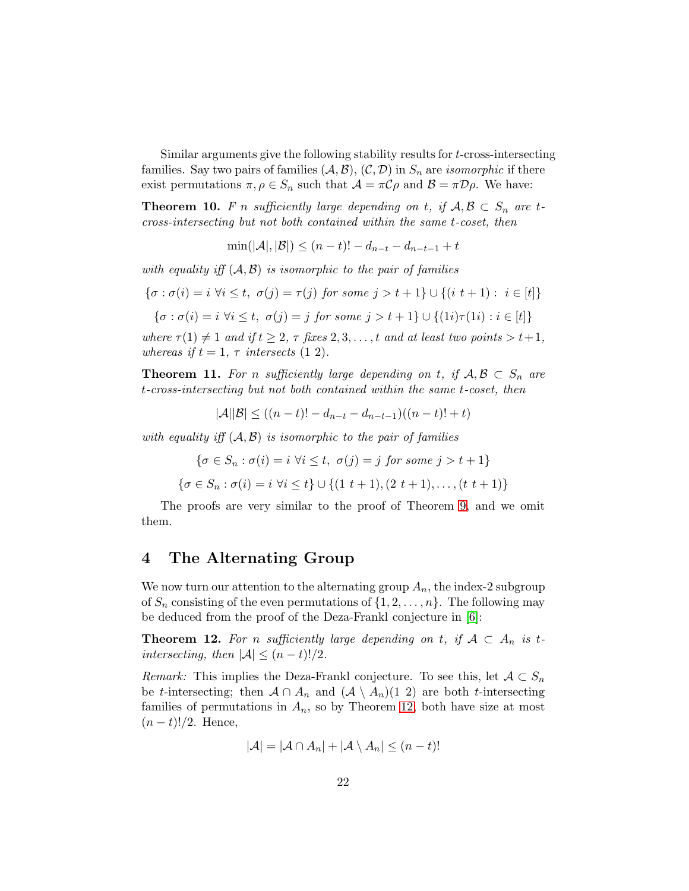Similar arguments give the following stability results for t-cross-intersecting families. Say two pairs of families  $(A, \mathcal{B}), (C, \mathcal{D})$  in  $S_n$  are *isomorphic* if there exist permutations  $\pi, \rho \in S_n$  such that  $\mathcal{A} = \pi \mathcal{C} \rho$  and  $\mathcal{B} = \pi \mathcal{D} \rho$ . We have:

**Theorem 10.** F n sufficiently large depending on t, if  $A, B \subset S_n$  are tcross-intersecting but not both contained within the same t-coset, then

 $\min(|\mathcal{A}|, |\mathcal{B}|) \leq (n-t)! - d_{n-t} - d_{n-t-1} + t$ 

with equality iff  $(A, B)$  is isomorphic to the pair of families

$$
\{\sigma : \sigma(i) = i \,\,\forall i \leq t, \,\,\sigma(j) = \tau(j) \,\,\text{for some} \,\, j > t+1\} \cup \{(i \,\,t+1) : \,\, i \in [t]\}
$$

$$
\{\sigma : \sigma(i) = i \,\,\forall i \leq t, \,\,\sigma(j) = j \,\,\text{for some}\,\, j > t + 1\} \cup \{(1i)\tau(1i) : i \in [t]\}
$$

where  $\tau(1) \neq 1$  and if  $t \geq 2$ ,  $\tau$  fixes  $2, 3, \ldots, t$  and at least two points  $>t+1$ , whereas if  $t = 1, \tau$  intersects (1 2).

**Theorem 11.** For n sufficiently large depending on t, if  $A, B \subset S_n$  are t-cross-intersecting but not both contained within the same t-coset, then

$$
|\mathcal{A}||\mathcal{B}| \le ((n-t)! - d_{n-t} - d_{n-t-1})((n-t)! + t)
$$

with equality iff  $(A, B)$  is isomorphic to the pair of families

$$
\{\sigma \in S_n : \sigma(i) = i \,\forall i \le t, \,\,\sigma(j) = j \,\,\text{for some}\,\, j > t + 1\}
$$
\n
$$
\{\sigma \in S_n : \sigma(i) = i \,\forall i \le t\} \cup \{(1 \,\,t + 1), (2 \,\,t + 1), \ldots, (t \,\,t + 1)\}
$$

The proofs are very similar to the proof of Theorem [9,](#page-18-0) and we omit them.

## 4 The Alternating Group

We now turn our attention to the alternating group  $A_n$ , the index-2 subgroup of  $S_n$  consisting of the even permutations of  $\{1, 2, \ldots, n\}$ . The following may be deduced from the proof of the Deza-Frankl conjecture in [\[6\]](#page-27-0):

<span id="page-21-0"></span>**Theorem 12.** For n sufficiently large depending on t, if  $A \subset A_n$  is tintersecting, then  $|\mathcal{A}| \leq (n-t)!/2$ .

*Remark:* This implies the Deza-Frankl conjecture. To see this, let  $A \subset S_n$ be t-intersecting; then  $A \cap A_n$  and  $(A \setminus A_n)(1\ 2)$  are both t-intersecting families of permutations in  $A_n$ , so by Theorem [12,](#page-21-0) both have size at most  $(n - t)!/2$ . Hence,

$$
|\mathcal{A}| = |\mathcal{A} \cap A_n| + |\mathcal{A} \setminus A_n| \leq (n-t)!
$$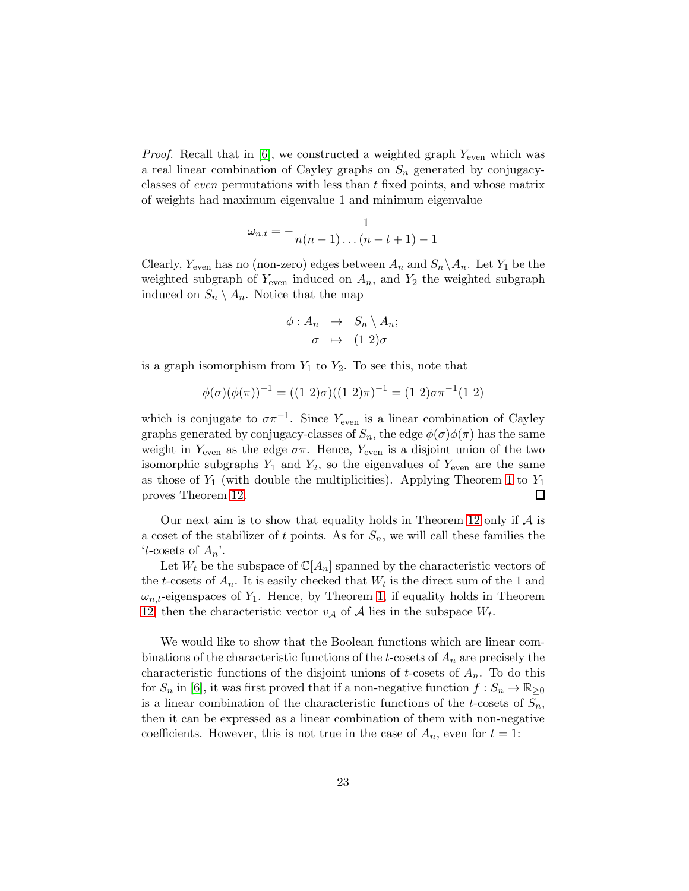*Proof.* Recall that in [\[6\]](#page-27-0), we constructed a weighted graph  $Y_{\text{even}}$  which was a real linear combination of Cayley graphs on  $S_n$  generated by conjugacyclasses of even permutations with less than t fixed points, and whose matrix of weights had maximum eigenvalue 1 and minimum eigenvalue

$$
\omega_{n,t}=-\frac{1}{n(n-1)\dots(n-t+1)-1}
$$

Clearly,  $Y_{\text{even}}$  has no (non-zero) edges between  $A_n$  and  $S_n \setminus A_n$ . Let  $Y_1$  be the weighted subgraph of  $Y_{\text{even}}$  induced on  $A_n$ , and  $Y_2$  the weighted subgraph induced on  $S_n \setminus A_n$ . Notice that the map

$$
\begin{array}{rcl} \phi:A_n & \to & S_n \setminus A_n; \\ \sigma & \mapsto & (1\ 2)\sigma \end{array}
$$

is a graph isomorphism from  $Y_1$  to  $Y_2$ . To see this, note that

$$
\phi(\sigma)(\phi(\pi))^{-1} = ((1\ 2)\sigma)((1\ 2)\pi)^{-1} = (1\ 2)\sigma\pi^{-1}(1\ 2)
$$

which is conjugate to  $\sigma \pi^{-1}$ . Since Y<sub>even</sub> is a linear combination of Cayley graphs generated by conjugacy-classes of  $S_n$ , the edge  $\phi(\sigma)\phi(\pi)$  has the same weight in  $Y_{\text{even}}$  as the edge  $\sigma\pi$ . Hence,  $Y_{\text{even}}$  is a disjoint union of the two isomorphic subgraphs  $Y_1$  and  $Y_2$ , so the eigenvalues of  $Y_{\text{even}}$  are the same as those of  $Y_1$  (with double the multiplicities). Applying Theorem [1](#page-3-0) to  $Y_1$ proves Theorem [12.](#page-21-0) 口

Our next aim is to show that equality holds in Theorem [12](#page-21-0) only if  $A$  is a coset of the stabilizer of t points. As for  $S_n$ , we will call these families the 't-cosets of  $A_n$ '.

Let  $W_t$  be the subspace of  $\mathbb{C}[A_n]$  spanned by the characteristic vectors of the t-cosets of  $A_n$ . It is easily checked that  $W_t$  is the direct sum of the 1 and  $\omega_{n,t}$ -eigenspaces of  $Y_1$ . Hence, by Theorem [1,](#page-3-0) if equality holds in Theorem [12,](#page-21-0) then the characteristic vector  $v_A$  of  $A$  lies in the subspace  $W_t$ .

We would like to show that the Boolean functions which are linear combinations of the characteristic functions of the t-cosets of  $A_n$  are precisely the characteristic functions of the disjoint unions of t-cosets of  $A_n$ . To do this for  $S_n$  in [\[6\]](#page-27-0), it was first proved that if a non-negative function  $f: S_n \to \mathbb{R}_{\geq 0}$ is a linear combination of the characteristic functions of the t-cosets of  $S_n$ , then it can be expressed as a linear combination of them with non-negative coefficients. However, this is not true in the case of  $A_n$ , even for  $t = 1$ :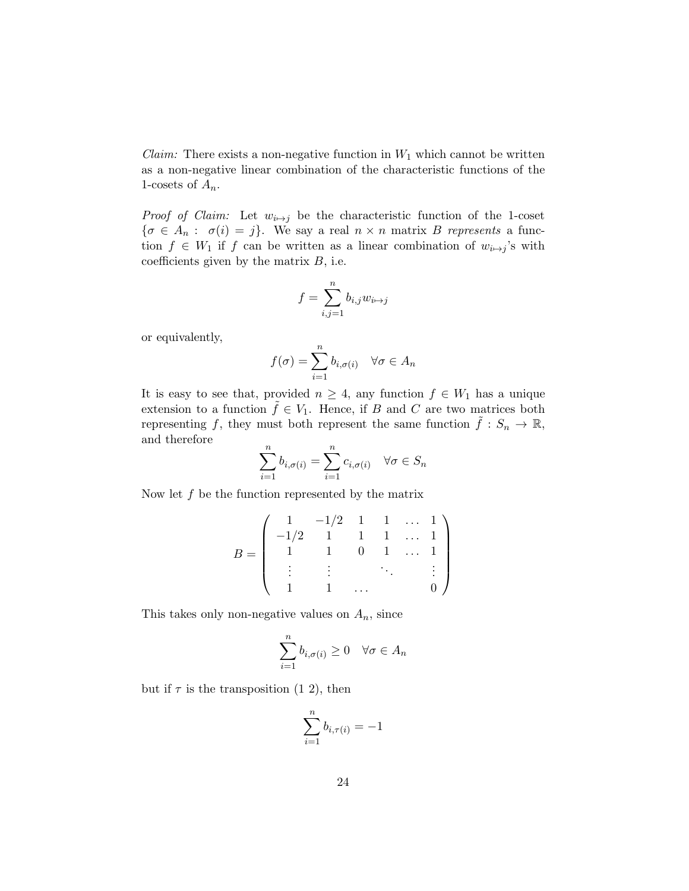*Claim:* There exists a non-negative function in  $W_1$  which cannot be written as a non-negative linear combination of the characteristic functions of the 1-cosets of  $A_n$ .

*Proof of Claim:* Let  $w_{i\rightarrow j}$  be the characteristic function of the 1-coset  $\{\sigma \in A_n : \sigma(i) = j\}.$  We say a real  $n \times n$  matrix B represents a function  $f \in W_1$  if f can be written as a linear combination of  $w_{i \mapsto j}$ 's with coefficients given by the matrix  $B$ , i.e.

$$
f = \sum_{i,j=1}^n b_{i,j} w_{i \mapsto j}
$$

or equivalently,

$$
f(\sigma) = \sum_{i=1}^{n} b_{i,\sigma(i)} \quad \forall \sigma \in A_n
$$

It is easy to see that, provided  $n \geq 4$ , any function  $f \in W_1$  has a unique extension to a function  $\tilde{f} \in V_1$ . Hence, if B and C are two matrices both representing f, they must both represent the same function  $\tilde{f}: S_n \to \mathbb{R}$ , and therefore

$$
\sum_{i=1}^{n} b_{i,\sigma(i)} = \sum_{i=1}^{n} c_{i,\sigma(i)} \quad \forall \sigma \in S_n
$$

Now let  $f$  be the function represented by the matrix

$$
B = \left( \begin{array}{ccccc} 1 & -1/2 & 1 & 1 & \dots & 1 \\ -1/2 & 1 & 1 & 1 & \dots & 1 \\ 1 & 1 & 0 & 1 & \dots & 1 \\ \vdots & \vdots & & \ddots & & \vdots \\ 1 & 1 & \dots & & 0 \end{array} \right)
$$

This takes only non-negative values on  $A_n$ , since

$$
\sum_{i=1}^{n} b_{i,\sigma(i)} \ge 0 \quad \forall \sigma \in A_n
$$

but if  $\tau$  is the transposition (1 2), then

$$
\sum_{i=1}^n b_{i,\tau(i)}=-1
$$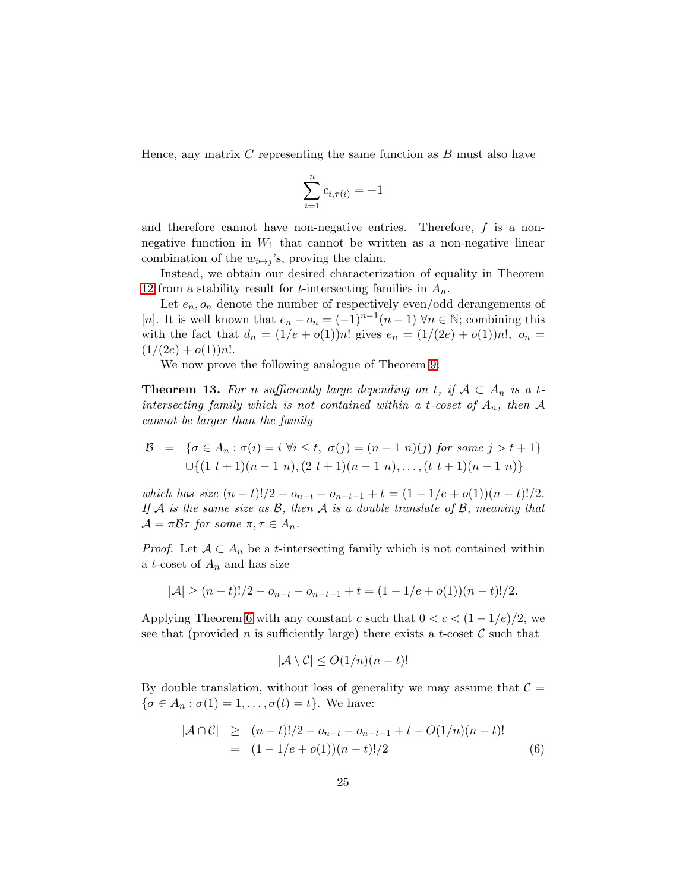Hence, any matrix  $C$  representing the same function as  $B$  must also have

$$
\sum_{i=1}^{n} c_{i,\tau(i)} = -1
$$

and therefore cannot have non-negative entries. Therefore,  $f$  is a nonnegative function in  $W_1$  that cannot be written as a non-negative linear combination of the  $w_{i\mapsto j}$ 's, proving the claim.

Instead, we obtain our desired characterization of equality in Theorem [12](#page-21-0) from a stability result for *t*-intersecting families in  $A_n$ .

Let  $e_n$ ,  $o_n$  denote the number of respectively even/odd derangements of [n]. It is well known that  $e_n - o_n = (-1)^{n-1}(n-1)$   $\forall n \in \mathbb{N}$ ; combining this with the fact that  $d_n = (1/e + o(1))n!$  gives  $e_n = (1/(2e) + o(1))n!$ ,  $o_n =$  $(1/(2e) + o(1))n!$ .

We now prove the following analogue of Theorem [9:](#page-18-0)

<span id="page-24-1"></span>**Theorem 13.** For n sufficiently large depending on t, if  $A \subset A_n$  is a tintersecting family which is not contained within a t-coset of  $A_n$ , then A cannot be larger than the family

$$
\mathcal{B} = \{ \sigma \in A_n : \sigma(i) = i \,\,\forall i \leq t, \,\, \sigma(j) = (n-1 \,\, n)(j) \,\,\text{for some} \,\, j > t+1 \} \\ \cup \{ (1 \,\, t+1)(n-1 \,\, n), (2 \,\, t+1)(n-1 \,\, n), \ldots, (t \,\, t+1)(n-1 \,\, n) \}
$$

which has size  $(n-t)!/2 - o_{n-t} - o_{n-t-1} + t = (1 - 1/e + o(1))(n-t)!/2$ . If A is the same size as  $\mathcal{B}$ , then A is a double translate of  $\mathcal{B}$ , meaning that  $\mathcal{A} = \pi \mathcal{B} \tau$  for some  $\pi, \tau \in A_n$ .

*Proof.* Let  $A \subset A_n$  be a *t*-intersecting family which is not contained within a t-coset of  $A_n$  and has size

$$
|\mathcal{A}| \ge (n-t)!/2 - o_{n-t} - o_{n-t-1} + t = (1-1/e + o(1))(n-t)!/2.
$$

Applying Theorem [6](#page-10-0) with any constant c such that  $0 < c < (1 - 1/e)/2$ , we see that (provided n is sufficiently large) there exists a t-coset  $\mathcal C$  such that

$$
|\mathcal{A} \setminus \mathcal{C}| \le O(1/n)(n-t)!
$$

By double translation, without loss of generality we may assume that  $C =$  $\{\sigma \in A_n : \sigma(1) = 1, \ldots, \sigma(t) = t\}.$  We have:

<span id="page-24-0"></span>
$$
|\mathcal{A} \cap \mathcal{C}| \ge (n-t)!/2 - o_{n-t} - o_{n-t-1} + t - O(1/n)(n-t)! = (1 - 1/e + o(1))(n-t)!/2
$$
 (6)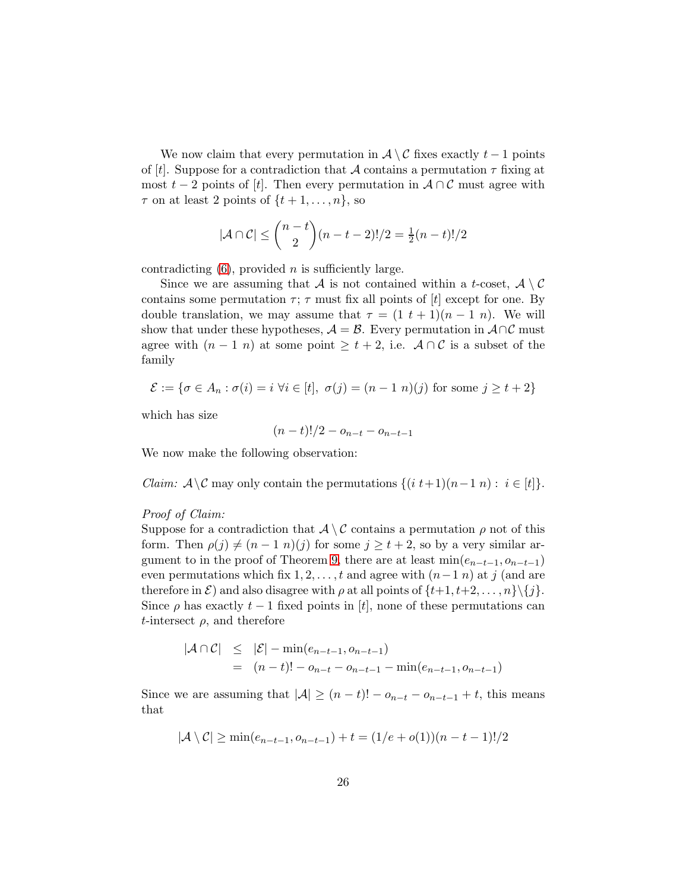We now claim that every permutation in  $\mathcal{A} \setminus \mathcal{C}$  fixes exactly  $t - 1$  points of [t]. Suppose for a contradiction that A contains a permutation  $\tau$  fixing at most  $t-2$  points of [t]. Then every permutation in  $A \cap C$  must agree with  $\tau$  on at least 2 points of  $\{t+1,\ldots,n\}$ , so

$$
|\mathcal{A} \cap \mathcal{C}| \le {n-t \choose 2} (n-t-2)!/2 = \frac{1}{2}(n-t)!/2
$$

contradicting  $(6)$ , provided *n* is sufficiently large.

Since we are assuming that A is not contained within a t-coset,  $\mathcal{A} \setminus \mathcal{C}$ contains some permutation  $\tau$ ;  $\tau$  must fix all points of [t] except for one. By double translation, we may assume that  $\tau = (1 \ t + 1)(n - 1 \ n)$ . We will show that under these hypotheses,  $\mathcal{A} = \mathcal{B}$ . Every permutation in  $\mathcal{A} \cap \mathcal{C}$  must agree with  $(n-1\ n)$  at some point  $\geq t+2$ , i.e.  $\mathcal{A} \cap \mathcal{C}$  is a subset of the family

$$
\mathcal{E} := \{ \sigma \in A_n : \sigma(i) = i \,\,\forall i \in [t], \,\, \sigma(j) = (n-1 \,\, n)(j) \text{ for some } j \ge t+2 \}
$$

which has size

$$
(n-t)!/2 - o_{n-t} - o_{n-t-1}
$$

We now make the following observation:

*Claim:*  $\mathcal{A} \setminus \mathcal{C}$  may only contain the permutations  $\{(i \ t+1)(n-1 \ n): i \in [t]\}.$ 

### Proof of Claim:

Suppose for a contradiction that  $\mathcal{A} \setminus \mathcal{C}$  contains a permutation  $\rho$  not of this form. Then  $\rho(j) \neq (n - 1 \ n)(j)$  for some  $j \geq t + 2$ , so by a very similar ar-gument to in the proof of Theorem [9,](#page-18-0) there are at least  $min(e_{n-t-1}, o_{n-t-1})$ even permutations which fix  $1, 2, \ldots, t$  and agree with  $(n-1 n)$  at j (and are therefore in  $\mathcal{E}$ ) and also disagree with  $\rho$  at all points of  $\{t+1, t+2, \ldots, n\} \setminus \{j\}.$ Since  $\rho$  has exactly  $t-1$  fixed points in [t], none of these permutations can t-intersect  $\rho$ , and therefore

$$
|\mathcal{A} \cap \mathcal{C}| \leq |\mathcal{E}| - \min(e_{n-t-1}, o_{n-t-1})
$$
  
=  $(n-t)! - o_{n-t} - o_{n-t-1} - \min(e_{n-t-1}, o_{n-t-1})$ 

Since we are assuming that  $|\mathcal{A}| \geq (n-t)! - o_{n-t} - o_{n-t-1} + t$ , this means that

$$
|\mathcal{A} \setminus \mathcal{C}| \ge \min(e_{n-t-1}, o_{n-t-1}) + t = (1/e + o(1))(n - t - 1)!/2
$$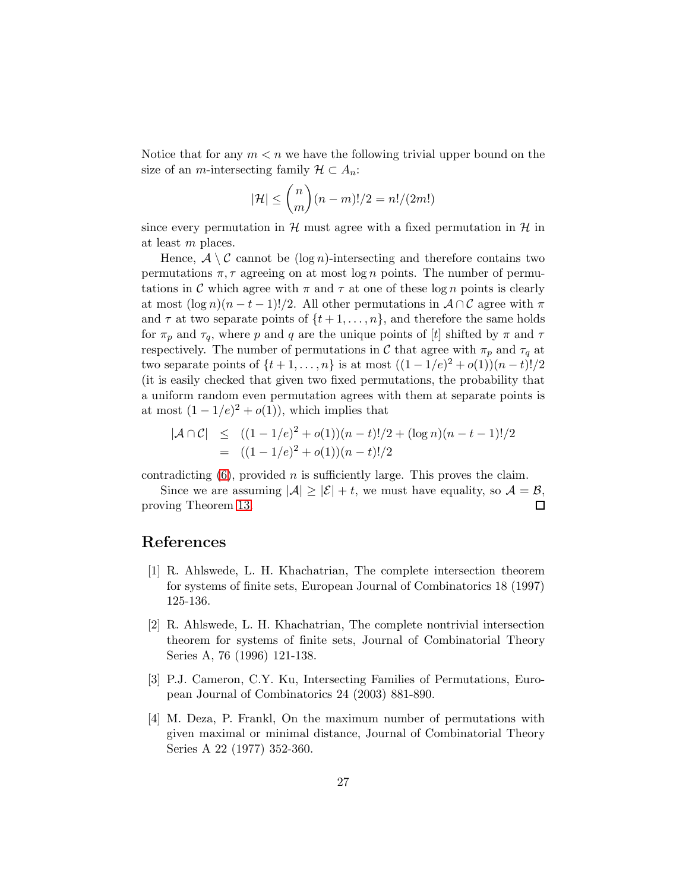Notice that for any  $m < n$  we have the following trivial upper bound on the size of an *m*-intersecting family  $\mathcal{H} \subset A_n$ :

$$
|\mathcal{H}| \leq {n \choose m} (n-m)!/2 = n!/(2m!)
$$

since every permutation in  $\mathcal{H}$  must agree with a fixed permutation in  $\mathcal{H}$  in at least m places.

Hence,  $A \setminus C$  cannot be  $(\log n)$ -intersecting and therefore contains two permutations  $\pi$ ,  $\tau$  agreeing on at most log n points. The number of permutations in C which agree with  $\pi$  and  $\tau$  at one of these log n points is clearly at most  $(\log n)(n-t-1)!/2$ . All other permutations in  $\mathcal{A} \cap \mathcal{C}$  agree with  $\pi$ and  $\tau$  at two separate points of  $\{t+1,\ldots,n\}$ , and therefore the same holds for  $\pi_p$  and  $\tau_q$ , where p and q are the unique points of [t] shifted by  $\pi$  and  $\tau$ respectively. The number of permutations in C that agree with  $\pi_p$  and  $\tau_q$  at two separate points of  $\{t+1, ..., n\}$  is at most  $((1 - 1/e)^2 + o(1))(n - t)!/2$ (it is easily checked that given two fixed permutations, the probability that a uniform random even permutation agrees with them at separate points is at most  $(1 - 1/e)^2 + o(1)$ , which implies that

$$
|\mathcal{A} \cap \mathcal{C}| \le ((1 - 1/e)^2 + o(1))(n - t)!/2 + (\log n)(n - t - 1)!/2
$$
  
= ((1 - 1/e)^2 + o(1))(n - t)!/2

contradicting  $(6)$ , provided *n* is sufficiently large. This proves the claim.

Since we are assuming  $|\mathcal{A}| \geq |\mathcal{E}| + t$ , we must have equality, so  $\mathcal{A} = \mathcal{B}$ , ving Theorem 13. proving Theorem [13.](#page-24-1)

## <span id="page-26-1"></span>References

- [1] R. Ahlswede, L. H. Khachatrian, The complete intersection theorem for systems of finite sets, European Journal of Combinatorics 18 (1997) 125-136.
- [2] R. Ahlswede, L. H. Khachatrian, The complete nontrivial intersection theorem for systems of finite sets, Journal of Combinatorial Theory Series A, 76 (1996) 121-138.
- <span id="page-26-2"></span>[3] P.J. Cameron, C.Y. Ku, Intersecting Families of Permutations, European Journal of Combinatorics 24 (2003) 881-890.
- <span id="page-26-0"></span>[4] M. Deza, P. Frankl, On the maximum number of permutations with given maximal or minimal distance, Journal of Combinatorial Theory Series A 22 (1977) 352-360.